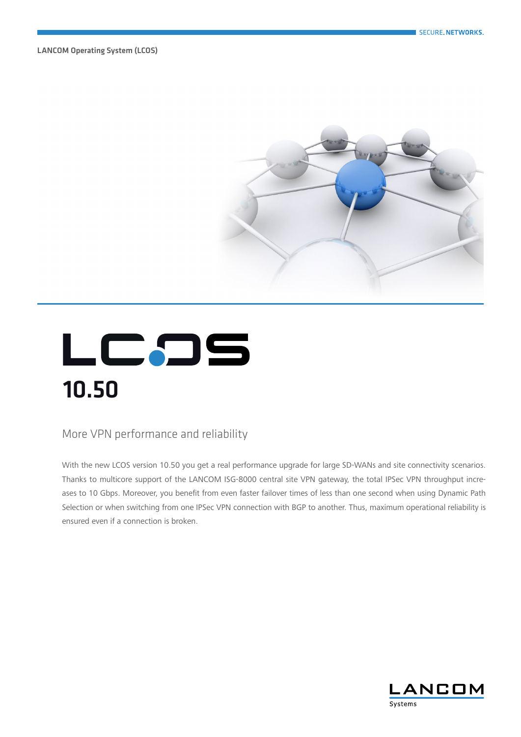LANCOM Operating System (LCOS)



# LCのS 10.50

#### More VPN performance and reliability

With the new LCOS version 10.50 you get a real performance upgrade for large SD-WANs and site connectivity scenarios. Thanks to multicore support of the LANCOM ISG-8000 central site VPN gateway, the total IPSec VPN throughput increases to 10 Gbps. Moreover, you benefit from even faster failover times of less than one second when using Dynamic Path Selection or when switching from one IPSec VPN connection with BGP to another. Thus, maximum operational reliability is ensured even if a connection is broken.

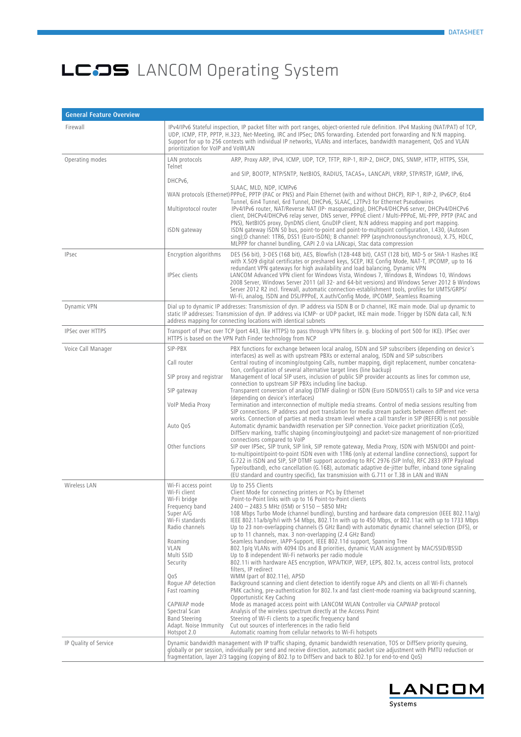| <b>General Feature Overview</b> |                                                                                                                                                                                                                                                                                                                  |                                                                                                                                                                                                                                                                                                                                                                                                                                                                                                                                                                                                                                                                                                                                                                                                                                                                                                                                                                                                                                                                                                                                                                                                                                                                                                                                                                                                                                                                                                                                                                                                                                                                                                                                                                         |
|---------------------------------|------------------------------------------------------------------------------------------------------------------------------------------------------------------------------------------------------------------------------------------------------------------------------------------------------------------|-------------------------------------------------------------------------------------------------------------------------------------------------------------------------------------------------------------------------------------------------------------------------------------------------------------------------------------------------------------------------------------------------------------------------------------------------------------------------------------------------------------------------------------------------------------------------------------------------------------------------------------------------------------------------------------------------------------------------------------------------------------------------------------------------------------------------------------------------------------------------------------------------------------------------------------------------------------------------------------------------------------------------------------------------------------------------------------------------------------------------------------------------------------------------------------------------------------------------------------------------------------------------------------------------------------------------------------------------------------------------------------------------------------------------------------------------------------------------------------------------------------------------------------------------------------------------------------------------------------------------------------------------------------------------------------------------------------------------------------------------------------------------|
| Firewall                        | prioritization for VoIP and VoWLAN                                                                                                                                                                                                                                                                               | IPv4/IPv6 Stateful inspection, IP packet filter with port ranges, object-oriented rule definition. IPv4 Masking (NAT/PAT) of TCP,<br>UDP, ICMP, FTP, PPTP, H.323, Net-Meeting, IRC and IPSec; DNS forwarding. Extended port forwarding and N:N mapping.<br>Support for up to 256 contexts with individual IP networks, VLANs and interfaces, bandwidth management, QoS and VLAN                                                                                                                                                                                                                                                                                                                                                                                                                                                                                                                                                                                                                                                                                                                                                                                                                                                                                                                                                                                                                                                                                                                                                                                                                                                                                                                                                                                         |
| Operating modes                 | LAN protocols<br>Telnet                                                                                                                                                                                                                                                                                          | ARP, Proxy ARP, IPv4, ICMP, UDP, TCP, TFTP, RIP-1, RIP-2, DHCP, DNS, SNMP, HTTP, HTTPS, SSH,                                                                                                                                                                                                                                                                                                                                                                                                                                                                                                                                                                                                                                                                                                                                                                                                                                                                                                                                                                                                                                                                                                                                                                                                                                                                                                                                                                                                                                                                                                                                                                                                                                                                            |
|                                 | DHCPv6,<br>Multiprotocol router<br>ISDN gateway                                                                                                                                                                                                                                                                  | and SIP, BOOTP, NTP/SNTP, NetBIOS, RADIUS, TACAS+, LANCAPI, VRRP, STP/RSTP, IGMP, IPv6,<br>SLAAC, MLD, NDP, ICMPv6<br>WAN protocols (Ethernet) PPPoE, PPTP (PAC or PNS) and Plain Ethernet (with and without DHCP), RIP-1, RIP-2, IPv6CP, 6to4<br>Tunnel, 6in4 Tunnel, 6rd Tunnel, DHCPv6, SLAAC, L2TPv3 for Ethernet Pseudowires<br>IPv4/IPv6 router, NAT/Reverse NAT (IP- masquerading), DHCPv4/DHCPv6 server, DHCPv4/DHCPv6<br>client, DHCPv4/DHCPv6 relay server, DNS server, PPPoE client / Multi-PPPoE, ML-PPP, PPTP (PAC and<br>PNS), NetBIOS proxy, DynDNS client, GnuDIP client, N:N address mapping and port mapping.<br>ISDN gateway ISDN S0 bus, point-to-point and point-to-multipoint configuration, I.430, (Autosen<br>sing);D channel: 1TR6, DSS1 (Euro-ISDN); B channel: PPP (asynchronous/synchronous), X.75, HDLC,<br>MLPPP for channel bundling, CAPI 2.0 via LANcapi, Stac data compression                                                                                                                                                                                                                                                                                                                                                                                                                                                                                                                                                                                                                                                                                                                                                                                                                                                        |
| <b>IPsec</b>                    | Encryption algorithms<br><b>IPSec clients</b>                                                                                                                                                                                                                                                                    | DES (56 bit), 3-DES (168 bit), AES, Blowfish (128-448 bit), CAST (128 bit), MD-5 or SHA-1 Hashes IKE<br>with X.509 digital certificates or preshared keys, SCEP, IKE Config Mode, NAT-T, IPCOMP, up to 16<br>redundant VPN gateways for high availability and load balancing, Dynamic VPN<br>LANCOM Advanced VPN client for Windows Vista, Windows 7, Windows 8, Windows 10, Windows<br>2008 Server, Windows Server 2011 (all 32- and 64-bit versions) and Windows Server 2012 & Windows<br>Server 2012 R2 incl. firewall, automatic connection-establishment tools, profiles for UMTS/GRPS/<br>Wi-Fi, analog, ISDN and DSL/PPPoE, X.auth/Config Mode, IPCOMP, Seamless Roaming                                                                                                                                                                                                                                                                                                                                                                                                                                                                                                                                                                                                                                                                                                                                                                                                                                                                                                                                                                                                                                                                                         |
| <b>Dynamic VPN</b>              |                                                                                                                                                                                                                                                                                                                  | Dial up to dynamic IP addresses: Transmission of dyn. IP address via ISDN B or D channel, IKE main mode. Dial up dynamic to<br>static IP addresses: Transmission of dyn. IP address via ICMP- or UDP packet, IKE main mode. Trigger by ISDN data call, N:N<br>address mapping for connecting locations with identical subnets                                                                                                                                                                                                                                                                                                                                                                                                                                                                                                                                                                                                                                                                                                                                                                                                                                                                                                                                                                                                                                                                                                                                                                                                                                                                                                                                                                                                                                           |
| <b>IPSec over HTTPS</b>         |                                                                                                                                                                                                                                                                                                                  | Transport of IPsec over TCP (port 443, like HTTPS) to pass through VPN filters (e. g. blocking of port 500 for IKE). IPSec over<br>HTTPS is based on the VPN Path Finder technology from NCP                                                                                                                                                                                                                                                                                                                                                                                                                                                                                                                                                                                                                                                                                                                                                                                                                                                                                                                                                                                                                                                                                                                                                                                                                                                                                                                                                                                                                                                                                                                                                                            |
| Voice Call Manager              | SIP-PBX<br>Call router<br>SIP proxy and registrar<br>SIP gateway<br>VoIP Media Proxy<br>Auto QoS<br>Other functions                                                                                                                                                                                              | PBX functions for exchange between local analog, ISDN and SIP subscribers (depending on device's<br>interfaces) as well as with upstream PBXs or external analog, ISDN and SIP subscribers<br>Central routing of incoming/outgoing Calls, number mapping, digit replacement, number concatena-<br>tion, configuration of several alternative target lines (line backup)<br>Management of local SIP users, inclusion of public SIP provider accounts as lines for common use,<br>connection to upstream SIP PBXs including line backup.<br>Transparent conversion of analog (DTMF dialing) or ISDN (Euro ISDN/DSS1) calls to SIP and vice versa<br>(depending on device's interfaces)<br>Termination and interconnection of multiple media streams. Control of media sessions resulting from<br>SIP connections. IP address and port translation for media stream packets between different net-<br>works. Connection of parties at media stream level where a call transfer in SIP (REFER) is not possible<br>Automatic dynamic bandwidth reservation per SIP connection. Voice packet prioritization (CoS),<br>DiffServ marking, traffic shaping (incoming/outgoing) and packet-size management of non-prioritized<br>connections compared to VoIP<br>SIP over IPSec, SIP trunk, SIP link, SIP remote gateway, Media Proxy, ISDN with MSN/DDI and point-<br>to-multipoint/point-to-point ISDN even with 1TR6 (only at external landline connections), support for<br>G.722 in ISDN and SIP, SIP DTMF support according to RFC 2976 (SIP Info), RFC 2833 (RTP Payload<br>Type/outband), echo cancellation (G.168), automatic adaptive de-jitter buffer, inband tone signaling<br>(EU standard and country specific), fax transmission with G.711 or T.38 in LAN and WAN |
| Wireless LAN                    | Wi-Fi access point<br>Wi-Fi client<br>Wi-Fi bridge<br>Frequency band<br>Super A/G<br>Wi-Fi standards<br>Radio channels<br>Roaming<br>VLAN<br>Multi SSID<br>Security<br>QoS<br>Roque AP detection<br>Fast roaming<br>CAPWAP mode<br>Spectral Scan<br><b>Band Steering</b><br>Adapt. Noise Immunity<br>Hotspot 2.0 | Up to 255 Clients<br>Client Mode for connecting printers or PCs by Ethernet<br>Point-to-Point links with up to 16 Point-to-Point clients<br>2400 - 2483.5 MHz (ISM) or 5150 - 5850 MHz<br>108 Mbps Turbo Mode (channel bundling), bursting and hardware data compression (IEEE 802.11a/g)<br>IEEE 802.11a/b/g/h/i with 54 Mbps, 802.11n with up to 450 Mbps, or 802.11ac with up to 1733 Mbps<br>Up to 23 non-overlapping channels (5 GHz Band) with automatic dynamic channel selection (DFS), or<br>up to 11 channels, max. 3 non-overlapping (2.4 GHz Band)<br>Seamless handover, IAPP-Support, IEEE 802.11d support, Spanning Tree<br>802.1p/q VLANs with 4094 IDs and 8 priorities, dynamic VLAN assignment by MAC/SSID/BSSID<br>Up to 8 independent Wi-Fi networks per radio module<br>802.11i with hardware AES encryption, WPA/TKIP, WEP, LEPS, 802.1x, access control lists, protocol<br>filters, IP redirect<br>WMM (part of 802.11e), APSD<br>Background scanning and client detection to identify roque APs and clients on all Wi-Fi channels<br>PMK caching, pre-authentication for 802.1x and fast client-mode roaming via background scanning,<br>Opportunistic Key Caching<br>Mode as managed access point with LANCOM WLAN Controller via CAPWAP protocol<br>Analysis of the wireless spectrum directly at the Access Point<br>Steering of Wi-Fi clients to a specific frequency band<br>Cut out sources of interferences in the radio field<br>Automatic roaming from cellular networks to Wi-Fi hotspots                                                                                                                                                                                                                                             |
| IP Quality of Service           |                                                                                                                                                                                                                                                                                                                  | Dynamic bandwidth management with IP traffic shaping, dynamic bandwidth reservation, TOS or DiffServ priority queuing,<br>globally or per session, individually per send and receive direction, automatic packet size adjustment with PMTU reduction or<br>fragmentation, layer 2/3 tagging (copying of 802.1p to DiffServ and back to 802.1p for end-to-end QoS)                                                                                                                                                                                                                                                                                                                                                                                                                                                                                                                                                                                                                                                                                                                                                                                                                                                                                                                                                                                                                                                                                                                                                                                                                                                                                                                                                                                                       |

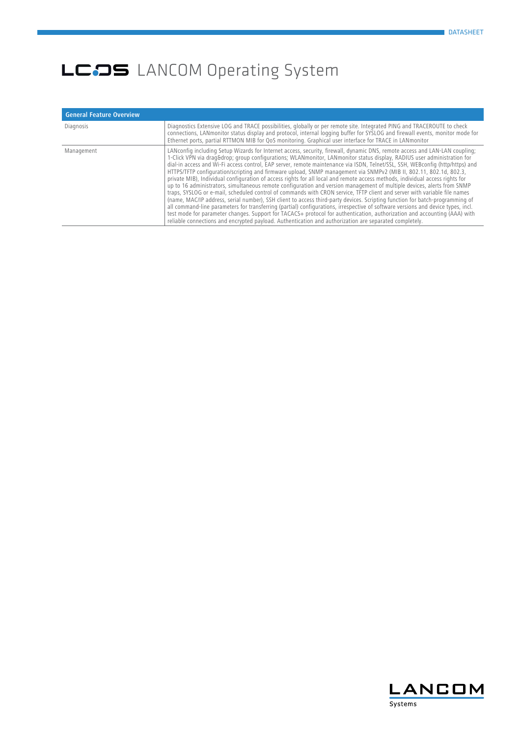| <b>General Feature Overview</b> |                                                                                                                                                                                                                                                                                                                                                                                                                                                                                                                                                                                                                                                                                                                                                                                                                                                                                                                                                                                                                                                                                                                                                                                                                                                                                                                                                                                                                  |
|---------------------------------|------------------------------------------------------------------------------------------------------------------------------------------------------------------------------------------------------------------------------------------------------------------------------------------------------------------------------------------------------------------------------------------------------------------------------------------------------------------------------------------------------------------------------------------------------------------------------------------------------------------------------------------------------------------------------------------------------------------------------------------------------------------------------------------------------------------------------------------------------------------------------------------------------------------------------------------------------------------------------------------------------------------------------------------------------------------------------------------------------------------------------------------------------------------------------------------------------------------------------------------------------------------------------------------------------------------------------------------------------------------------------------------------------------------|
| Diagnosis                       | Diagnostics Extensive LOG and TRACE possibilities, globally or per remote site. Integrated PING and TRACEROUTE to check<br>connections, LANmonitor status display and protocol, internal logging buffer for SYSLOG and firewall events, monitor mode for<br>Ethernet ports, partial RTTMON MIB for QoS monitoring. Graphical user interface for TRACE in LANmonitor                                                                                                                                                                                                                                                                                                                                                                                                                                                                                                                                                                                                                                                                                                                                                                                                                                                                                                                                                                                                                                              |
| Management                      | LANconfig including Setup Wizards for Internet access, security, firewall, dynamic DNS, remote access and LAN-LAN coupling;<br>1-Click VPN via drag&drop group configurations; WLANmonitor, LANmonitor status display, RADIUS user administration for<br>dial-in access and Wi-Fi access control, EAP server, remote maintenance via ISDN, Telnet/SSL, SSH, WEBconfig (http/https) and<br>HTTPS/TFTP configuration/scripting and firmware upload, SNMP management via SNMPv2 (MIB II, 802.11, 802.1d, 802.3,<br>private MIB), Individual configuration of access rights for all local and remote access methods, individual access rights for<br>up to 16 administrators, simultaneous remote configuration and version management of multiple devices, alerts from SNMP<br>traps, SYSLOG or e-mail, scheduled control of commands with CRON service, TFTP client and server with variable file names<br>(name, MAC/IP address, serial number), SSH client to access third-party devices. Scripting function for batch-programming of<br>all command-line parameters for transferring (partial) configurations, irrespective of software versions and device types, incl.<br>test mode for parameter changes. Support for TACACS+ protocol for authentication, authorization and accounting (AAA) with<br>reliable connections and encrypted payload. Authentication and authorization are separated completely. |

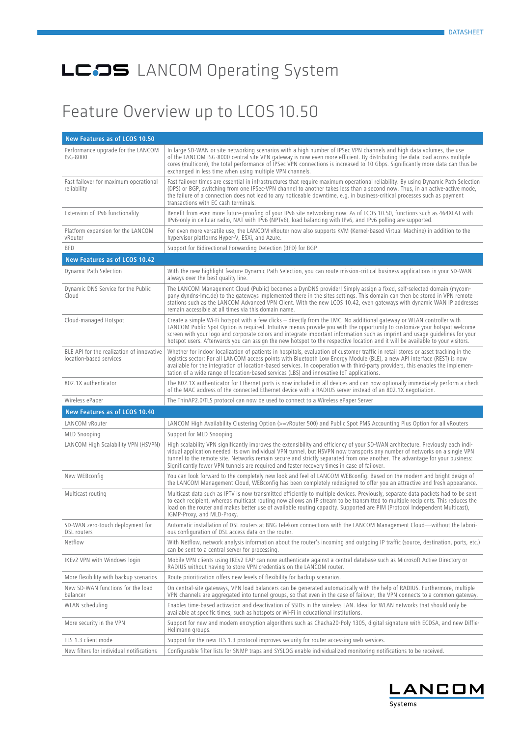#### Feature Overview up to LCOS 10.50

| New Features as of LCOS 10.50                                        |                                                                                                                                                                                                                                                                                                                                                                                                                                                                                                                       |
|----------------------------------------------------------------------|-----------------------------------------------------------------------------------------------------------------------------------------------------------------------------------------------------------------------------------------------------------------------------------------------------------------------------------------------------------------------------------------------------------------------------------------------------------------------------------------------------------------------|
| Performance upgrade for the LANCOM<br>ISG-8000                       | In large SD-WAN or site networking scenarios with a high number of IPSec VPN channels and high data volumes, the use<br>of the LANCOM ISG-8000 central site VPN gateway is now even more efficient. By distributing the data load across multiple<br>cores (multicore), the total performance of IPSec VPN connections is increased to 10 Gbps. Significantly more data can thus be<br>exchanged in less time when using multiple VPN channels.                                                                       |
| Fast failover for maximum operational<br>reliability                 | Fast failover times are essential in infrastructures that require maximum operational reliability. By using Dynamic Path Selection<br>(DPS) or BGP, switching from one IPSec-VPN channel to another takes less than a second now. Thus, in an active-active mode,<br>the failure of a connection does not lead to any noticeable downtime, e.g. in business-critical processes such as payment<br>transactions with EC cash terminals.                                                                                |
| Extension of IPv6 functionality                                      | Benefit from even more future-proofing of your IPv6 site networking now: As of LCOS 10.50, functions such as 464XLAT with<br>IPv6-only in cellular radio, NAT with IPv6 (NPTv6), load balancing with IPv6, and IPv6 polling are supported.                                                                                                                                                                                                                                                                            |
| Platform expansion for the LANCOM<br>vRouter                         | For even more versatile use, the LANCOM vRouter now also supports KVM (Kernel-based Virtual Machine) in addition to the<br>hypervisor platforms Hyper-V, ESXi, and Azure.                                                                                                                                                                                                                                                                                                                                             |
| <b>BFD</b>                                                           | Support for Bidirectional Forwarding Detection (BFD) for BGP                                                                                                                                                                                                                                                                                                                                                                                                                                                          |
| New Features as of LCOS 10.42                                        |                                                                                                                                                                                                                                                                                                                                                                                                                                                                                                                       |
| Dynamic Path Selection                                               | With the new highlight feature Dynamic Path Selection, you can route mission-critical business applications in your SD-WAN<br>always over the best quality line.                                                                                                                                                                                                                                                                                                                                                      |
| Dynamic DNS Service for the Public<br>Cloud                          | The LANCOM Management Cloud (Public) becomes a DynDNS provider! Simply assign a fixed, self-selected domain (mycom-<br>pany.dyndns-lmc.de) to the gateways implemented there in the sites settings. This domain can then be stored in VPN remote<br>stations such as the LANCOM Advanced VPN Client. With the new LCOS 10.42, even gateways with dynamic WAN IP addresses<br>remain accessible at all times via this domain name.                                                                                     |
| Cloud-managed Hotspot                                                | Create a simple Wi-Fi hotspot with a few clicks – directly from the LMC. No additional gateway or WLAN controller with<br>LANCOM Public Spot Option is required. Intuitive menus provide you with the opportunity to customize your hotspot welcome<br>screen with your logo and corporate colors and integrate important information such as imprint and usage guidelines for your<br>hotspot users. Afterwards you can assign the new hotspot to the respective location and it will be available to your visitors. |
| BLE API for the realization of innovative<br>location-based services | Whether for indoor localization of patients in hospitals, evaluation of customer traffic in retail stores or asset tracking in the<br>logistics sector: For all LANCOM access points with Bluetooth Low Energy Module (BLE), a new API interface (REST) is now<br>available for the integration of location-based services. In cooperation with third-party providers, this enables the implemen-<br>tation of a wide range of location-based services (LBS) and innovative IoT applications.                         |
| 802.1X authenticator                                                 | The 802.1X authenticator for Ethernet ports is now included in all devices and can now optionally immediately perform a check<br>of the MAC address of the connected Ethernet device with a RADIUS server instead of an 802.1X negotiation.                                                                                                                                                                                                                                                                           |
| Wireless ePaper                                                      | The ThinAP2.0/TLS protocol can now be used to connect to a Wireless ePaper Server                                                                                                                                                                                                                                                                                                                                                                                                                                     |
| New Features as of LCOS 10.40                                        |                                                                                                                                                                                                                                                                                                                                                                                                                                                                                                                       |
| LANCOM vRouter                                                       | LANCOM High Availability Clustering Option (>=vRouter 500) and Public Spot PMS Accounting Plus Option for all vRouters                                                                                                                                                                                                                                                                                                                                                                                                |
| <b>MLD Snooping</b>                                                  | Support for MLD Snooping                                                                                                                                                                                                                                                                                                                                                                                                                                                                                              |
| LANCOM High Scalability VPN (HSVPN)                                  | High scalability VPN significantly improves the extensibility and efficiency of your SD-WAN architecture. Previously each indi-<br>vidual application needed its own individual VPN tunnel, but HSVPN now transports any number of networks on a single VPN<br>tunnel to the remote site. Networks remain secure and strictly separated from one another. The advantage for your business:<br>Significantly fewer VPN tunnels are required and faster recovery times in case of failover.                             |
| New WEBconfig                                                        | You can look forward to the completely new look and feel of LANCOM WEBconfig. Based on the modern and bright design of<br>the LANCOM Management Cloud, WEBconfig has been completely redesigned to offer you an attractive and fresh appearance.                                                                                                                                                                                                                                                                      |
| Multicast routing                                                    | Multicast data such as IPTV is now transmitted efficiently to multiple devices. Previously, separate data packets had to be sent<br>to each recipient, whereas multicast routing now allows an IP stream to be transmitted to multiple recipients. This reduces the<br>load on the router and makes better use of available routing capacity. Supported are PIM (Protocol Independent Multicast),<br>IGMP-Proxy, and MLD-Proxy.                                                                                       |
| SD-WAN zero-touch deployment for<br>DSL routers                      | Automatic installation of DSL routers at BNG Telekom connections with the LANCOM Management Cloud—without the labori-<br>ous configuration of DSL access data on the router.                                                                                                                                                                                                                                                                                                                                          |
| Netflow                                                              | With Netflow, network analysis information about the router's incoming and outgoing IP traffic (source, destination, ports, etc.)<br>can be sent to a central server for processing.                                                                                                                                                                                                                                                                                                                                  |
| IKEv2 VPN with Windows login                                         | Mobile VPN clients using IKEv2 EAP can now authenticate against a central database such as Microsoft Active Directory or<br>RADIUS without having to store VPN credentials on the LANCOM router.                                                                                                                                                                                                                                                                                                                      |
| More flexibility with backup scenarios                               | Route prioritization offers new levels of flexibility for backup scenarios.                                                                                                                                                                                                                                                                                                                                                                                                                                           |
| New SD-WAN functions for the load<br>balancer                        | On central-site gateways, VPN load balancers can be generated automatically with the help of RADIUS. Furthermore, multiple<br>VPN channels are aggregated into tunnel groups, so that even in the case of failover, the VPN connects to a common gateway.                                                                                                                                                                                                                                                             |
| WLAN scheduling                                                      | Enables time-based activation and deactivation of SSIDs in the wireless LAN. Ideal for WLAN networks that should only be<br>available at specific times, such as hotspots or Wi-Fi in educational institutions.                                                                                                                                                                                                                                                                                                       |
| More security in the VPN                                             | Support for new and modern encryption algorithms such as Chacha20-Poly 1305, digital signature with ECDSA, and new Diffie-<br>Hellmann groups.                                                                                                                                                                                                                                                                                                                                                                        |
| TLS 1.3 client mode                                                  | Support for the new TLS 1.3 protocol improves security for router accessing web services.                                                                                                                                                                                                                                                                                                                                                                                                                             |
| New filters for individual notifications                             | Configurable filter lists for SNMP traps and SYSLOG enable individualized monitoring notifications to be received.                                                                                                                                                                                                                                                                                                                                                                                                    |

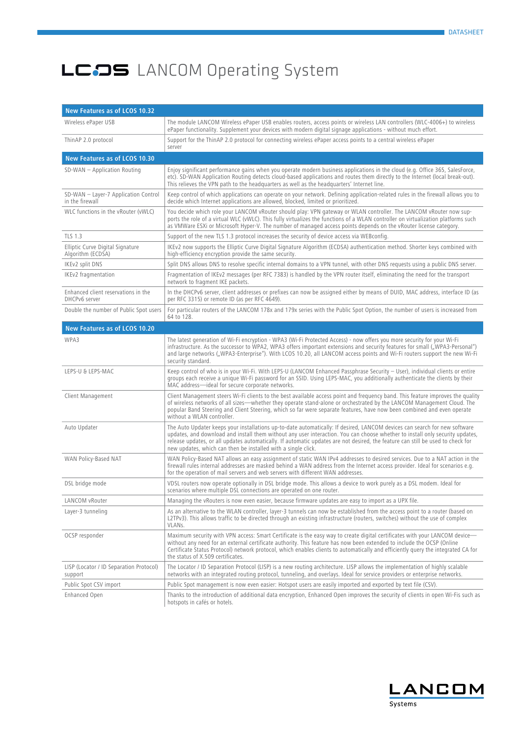| New Features as of LCOS 10.32                           |                                                                                                                                                                                                                                                                                                                                                                                                                                                                 |  |
|---------------------------------------------------------|-----------------------------------------------------------------------------------------------------------------------------------------------------------------------------------------------------------------------------------------------------------------------------------------------------------------------------------------------------------------------------------------------------------------------------------------------------------------|--|
| Wireless ePaper USB                                     | The module LANCOM Wireless ePaper USB enables routers, access points or wireless LAN controllers (WLC-4006+) to wireless<br>ePaper functionality. Supplement your devices with modern digital signage applications - without much effort.                                                                                                                                                                                                                       |  |
| ThinAP 2.0 protocol                                     | Support for the ThinAP 2.0 protocol for connecting wireless ePaper access points to a central wireless ePaper<br>server                                                                                                                                                                                                                                                                                                                                         |  |
| New Features as of LCOS 10.30                           |                                                                                                                                                                                                                                                                                                                                                                                                                                                                 |  |
| SD-WAN - Application Routing                            | Enjoy significant performance gains when you operate modern business applications in the cloud (e.g. Office 365, SalesForce,<br>etc). SD-WAN Application Routing detects cloud-based applications and routes them directly to the Internet (local break-out).<br>This relieves the VPN path to the headquarters as well as the headquarters' Internet line.                                                                                                     |  |
| SD-WAN - Layer-7 Application Control<br>in the firewall | Keep control of which applications can operate on your network. Defining application-related rules in the firewall allows you to<br>decide which Internet applications are allowed, blocked, limited or prioritized.                                                                                                                                                                                                                                            |  |
| WLC functions in the vRouter (vWLC)                     | You decide which role your LANCOM vRouter should play: VPN gateway or WLAN controller. The LANCOM vRouter now sup-<br>ports the role of a virtual WLC (vWLC). This fully virtualizes the functions of a WLAN controller on virtualization platforms such<br>as VMWare ESXi or Microsoft Hyper-V. The number of managed access points depends on the vRouter license category.                                                                                   |  |
| <b>TLS 1.3</b>                                          | Support of the new TLS 1.3 protocol increases the security of device access via WEBconfig.                                                                                                                                                                                                                                                                                                                                                                      |  |
| Elliptic Curve Digital Signature<br>Algorithm (ECDSA)   | IKEv2 now supports the Elliptic Curve Digital Signature Algorithm (ECDSA) authentication method. Shorter keys combined with<br>high-efficiency encryption provide the same security.                                                                                                                                                                                                                                                                            |  |
| IKEv2 split DNS                                         | Split DNS allows DNS to resolve specific internal domains to a VPN tunnel, with other DNS requests using a public DNS server.                                                                                                                                                                                                                                                                                                                                   |  |
| IKEv2 fragmentation                                     | Fragmentation of IKEv2 messages (per RFC 7383) is handled by the VPN router itself, eliminating the need for the transport<br>network to fragment IKE packets.                                                                                                                                                                                                                                                                                                  |  |
| Enhanced client reservations in the<br>DHCPv6 server    | In the DHCPv6 server, client addresses or prefixes can now be assigned either by means of DUID, MAC address, interface ID (as<br>per RFC 3315) or remote ID (as per RFC 4649).                                                                                                                                                                                                                                                                                  |  |
| Double the number of Public Spot users                  | For particular routers of the LANCOM 178x and 179x series with the Public Spot Option, the number of users is increased from<br>64 to 128.                                                                                                                                                                                                                                                                                                                      |  |
| New Features as of LCOS 10.20                           |                                                                                                                                                                                                                                                                                                                                                                                                                                                                 |  |
| WPA3                                                    | The latest generation of Wi-Fi encryption - WPA3 (Wi-Fi Protected Access) - now offers you more security for your Wi-Fi<br>infrastructure. As the successor to WPA2, WPA3 offers important extensions and security features for small ("WPA3-Personal")<br>and large networks ("WPA3-Enterprise"). With LCOS 10.20, all LANCOM access points and Wi-Fi routers support the new Wi-Fi<br>security standard.                                                      |  |
| LEPS-U & LEPS-MAC                                       | Keep control of who is in your Wi-Fi. With LEPS-U (LANCOM Enhanced Passphrase Security - User), individual clients or entire<br>groups each receive a unique Wi-Fi password for an SSID. Using LEPS-MAC, you additionally authenticate the clients by their<br>MAC address-ideal for secure corporate networks.                                                                                                                                                 |  |
| Client Management                                       | Client Management steers Wi-Fi clients to the best available access point and frequency band. This feature improves the quality<br>of wireless networks of all sizes—whether they operate stand-alone or orchestrated by the LANCOM Management Cloud. The<br>popular Band Steering and Client Steering, which so far were separate features, have now been combined and even operate<br>without a WLAN controller.                                              |  |
| Auto Updater                                            | The Auto Updater keeps your installations up-to-date automatically: If desired, LANCOM devices can search for new software<br>updates, and download and install them without any user interaction. You can choose whether to install only security updates,<br>release updates, or all updates automatically. If automatic updates are not desired, the feature can still be used to check for<br>new updates, which can then be installed with a single click. |  |
| WAN Policy-Based NAT                                    | WAN Policy-Based NAT allows an easy assignment of static WAN IPv4 addresses to desired services. Due to a NAT action in the<br>firewall rules internal addresses are masked behind a WAN address from the Internet access provider. Ideal for scenarios e.g.<br>for the operation of mail servers and web servers with different WAN addresses.                                                                                                                 |  |
| DSL bridge mode                                         | VDSL routers now operate optionally in DSL bridge mode. This allows a device to work purely as a DSL modem. Ideal for<br>scenarios where multiple DSL connections are operated on one router.                                                                                                                                                                                                                                                                   |  |
| LANCOM vRouter                                          | Managing the vRouters is now even easier, because firmware updates are easy to import as a UPX file.                                                                                                                                                                                                                                                                                                                                                            |  |
| Layer-3 tunneling                                       | As an alternative to the WLAN controller, layer-3 tunnels can now be established from the access point to a router (based on<br>L2TPv3). This allows traffic to be directed through an existing infrastructure (routers, switches) without the use of complex<br>VLANs.                                                                                                                                                                                         |  |
| OCSP responder                                          | Maximum security with VPN access: Smart Certificate is the easy way to create digital certificates with your LANCOM device-<br>without any need for an external certificate authority. This feature has now been extended to include the OCSP (Online<br>Certificate Status Protocol) network protocol, which enables clients to automatically and efficiently query the integrated CA for<br>the status of X.509 certificates.                                 |  |
| LISP (Locator / ID Separation Protocol)<br>support      | The Locator / ID Separation Protocol (LISP) is a new routing architecture. LISP allows the implementation of highly scalable<br>networks with an integrated routing protocol, tunneling, and overlays. Ideal for service providers or enterprise networks.                                                                                                                                                                                                      |  |
| Public Spot CSV import                                  | Public Spot management is now even easier: Hotspot users are easily imported and exported by text file (CSV).                                                                                                                                                                                                                                                                                                                                                   |  |
| Enhanced Open                                           | Thanks to the introduction of additional data encryption, Enhanced Open improves the security of clients in open Wi-Fis such as<br>hotspots in cafés or hotels.                                                                                                                                                                                                                                                                                                 |  |

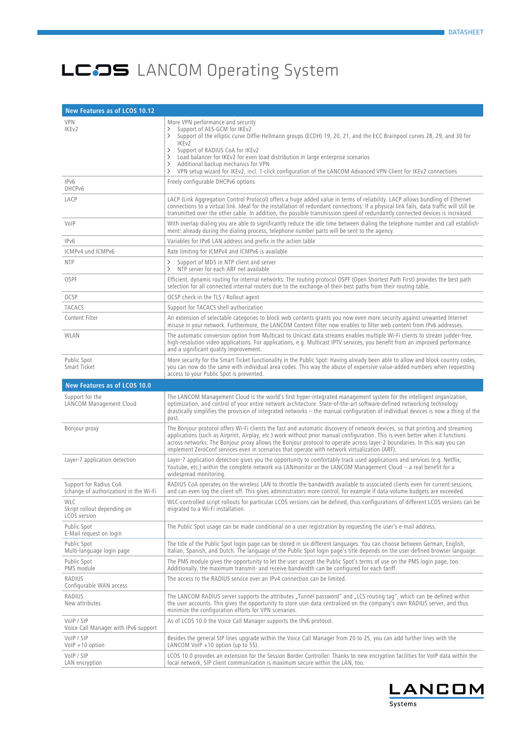| New Features as of LCOS 10.12                                    |                                                                                                                                                                                                                                                                                                                                                                                                                                                                                                                                                                    |
|------------------------------------------------------------------|--------------------------------------------------------------------------------------------------------------------------------------------------------------------------------------------------------------------------------------------------------------------------------------------------------------------------------------------------------------------------------------------------------------------------------------------------------------------------------------------------------------------------------------------------------------------|
| <b>VPN</b><br>IKE <sub>v2</sub>                                  | More VPN performance and security<br>Support of AES-GCM for IKEv2<br>$\rightarrow$<br>Support of the elliptic curve Diffie-Hellmann groups (ECDH) 19, 20, 21, and the ECC Brainpool curves 28, 29, and 30 for<br>$\left\langle \right\rangle$<br>IKE <sub>v2</sub><br>Support of RADIUS CoA for IKEv2<br>ゝ<br>Load balancer for IKEv2 for even load distribution in large enterprise scenarios<br>ゝ<br>Additional backup mechanics for VPN<br>ゝ<br>VPN setup wizard for IKEv2, incl. 1-click configuration of the LANCOM Advanced VPN Client for IKEv2 connections |
| IPv6<br>DHCPv6                                                   | Freely configurable DHCPv6 options                                                                                                                                                                                                                                                                                                                                                                                                                                                                                                                                 |
| LACP                                                             | LACP (Link Aggregation Control Protocol) offers a huge added value in terms of reliability. LACP allows bundling of Ethernet<br>connections to a virtual link. Ideal for the installation of redundant connections: If a physical link fails, data traffic will still be<br>transmitted over the other cable. In addition, the possible transmission speed of redundantly connected devices is increased.                                                                                                                                                          |
| VolP                                                             | With overlap dialing you are able to significantly reduce the idle time between dialing the telephone number and call establish-<br>ment: already during the dialing process, telephone number parts will be sent to the agency.                                                                                                                                                                                                                                                                                                                                   |
| IPv6                                                             | Variables for IPv6 LAN address and prefix in the action table                                                                                                                                                                                                                                                                                                                                                                                                                                                                                                      |
| ICMPv4 und ICMPv6                                                | Rate limiting for ICMPv4 and ICMPv6 is available                                                                                                                                                                                                                                                                                                                                                                                                                                                                                                                   |
| <b>NTP</b>                                                       | $\rightarrow$<br>Support of MD5 in NTP client and server<br>$\rightarrow$<br>NTP server for each ARF net available                                                                                                                                                                                                                                                                                                                                                                                                                                                 |
| <b>OSPF</b>                                                      | Efficient, dynamic routing for internal networks: The routing protocol OSPF (Open Shortest Path First) provides the best path<br>selection for all connected internal routers due to the exchange of their best paths from their routing table.                                                                                                                                                                                                                                                                                                                    |
| <b>OCSP</b>                                                      | OCSP check in the TLS / Rollout agent                                                                                                                                                                                                                                                                                                                                                                                                                                                                                                                              |
| <b>TACACS</b>                                                    | Support for TACACS shell authorization                                                                                                                                                                                                                                                                                                                                                                                                                                                                                                                             |
| Content Filter                                                   | An extension of selectable categories to block web contents grants you now even more security against unwanted Internet<br>misuse in your network. Furthermore, the LANCOM Content Filter now enables to filter web content from IPv6 addresses.                                                                                                                                                                                                                                                                                                                   |
| WLAN                                                             | The automatic conversion option from Multicast to Unicast data streams enables multiple Wi-Fi clients to stream judder-free,<br>high-resolution video applications. For applications, e.g. Multicast IPTV services, you benefit from an improved performance<br>and a significant quality improvement.                                                                                                                                                                                                                                                             |
| Public Spot<br>Smart Ticket                                      | More security for the Smart Ticket functionality in the Public Spot: Having already been able to allow and block country codes,<br>you can now do the same with individual area codes. This way the abuse of expensive value-added numbers when requesting<br>access to your Public Spot is prevented.                                                                                                                                                                                                                                                             |
| <b>New Features as of LCOS 10.0</b>                              |                                                                                                                                                                                                                                                                                                                                                                                                                                                                                                                                                                    |
| Support for the<br>LANCOM Management Cloud                       | The LANCOM Management Cloud is the world's first hyper-integrated management system for the intelligent organization,<br>optimization, and control of your entire network architecture. State-of-the-art software-defined networking technology<br>drastically simplifies the provision of integrated networks $-$ the manual configuration of individual devices is now a thing of the<br>past.                                                                                                                                                                   |
| Bonjour proxy                                                    | The Bonjour protocol offers Wi-Fi clients the fast and automatic discovery of network devices, so that printing and streaming<br>applications (such as Airprint, Airplay, etc.) work without prior manual configuration. This is even better when it functions<br>across networks: The Bonjour proxy allows the Bonjour protocol to operate across layer-2 boundaries. In this way you can<br>implement ZeroConf services even in scenarios that operate with network virtualization (ARF).                                                                        |
| Layer-7 application detection                                    | Layer-7 application detection gives you the opportunity to comfortably track used applications and services (e.g. Netflix,<br>Youtube, etc.) within the complete network via LANmonitor or the LANCOM Management Cloud – a real benefit for a<br>widespread monitoring.                                                                                                                                                                                                                                                                                            |
| Support for Radius CoA<br>(change of authorization) in the Wi-Fi | RADIUS CoA operates on the wireless LAN to throttle the bandwidth available to associated clients even for current sessions,<br>and can even log the client off. This gives administrators more control, for example if data-volume budgets are exceeded.                                                                                                                                                                                                                                                                                                          |
| WLC<br>Skript rollout depending on<br>LCOS version               | WLC-controlled script rollouts for particular LCOS versions can be defined, thus configurations of different LCOS versions can be<br>migrated to a Wi-Fi installation.                                                                                                                                                                                                                                                                                                                                                                                             |
| Public Spot<br>E-Mail request on login                           | The Public Spot usage can be made conditional on a user registration by requesting the user's e-mail address.                                                                                                                                                                                                                                                                                                                                                                                                                                                      |
| Public Spot<br>Multi-language login page                         | The title of the Public Spot login page can be stored in six different languages. You can choose between German, English,<br>Italian, Spanish, and Dutch. The language of the Public Spot login page's title depends on the user-defined browser language.                                                                                                                                                                                                                                                                                                         |
| Public Spot<br>PMS module                                        | The PMS module gives the opportunity to let the user accept the Public Spot's terms of use on the PMS login page, too.<br>Additionally, the maximum transmit- and receive bandwidth can be configured for each tariff.                                                                                                                                                                                                                                                                                                                                             |
| <b>RADIUS</b><br>Configurable WAN access                         | The access to the RADIUS service over an IPv4 connection can be limited.                                                                                                                                                                                                                                                                                                                                                                                                                                                                                           |
| RADIUS<br>New attributes                                         | The LANCOM RADIUS server supports the attributes "Tunnel password" and "LCS routing tag", which can be defined within<br>the user accounts. This gives the opportunity to store user data centralized on the company's own RADIUS server, and thus<br>minimize the configuration efforts for VPN scenarios.                                                                                                                                                                                                                                                        |
| VoIP / SIP<br>Voice Call Manager with IPv6 support               | As of LCOS 10.0 the Voice Call Manager supports the IPv6 protocol.                                                                                                                                                                                                                                                                                                                                                                                                                                                                                                 |
| VoIP / SIP<br>$VolP + 10$ option                                 | Besides the general SIP lines upgrade within the Voice Call Manager from 20 to 25, you can add further lines with the<br>LANCOM VoIP $+10$ option (up to 55).                                                                                                                                                                                                                                                                                                                                                                                                      |
| VoIP / SIP<br>LAN encryption                                     | LCOS 10.0 provides an extension for the Session Border Controller: Thanks to new encryption facilities for VoIP data within the<br>local network, SIP client communication is maximum secure within the LAN, too.                                                                                                                                                                                                                                                                                                                                                  |

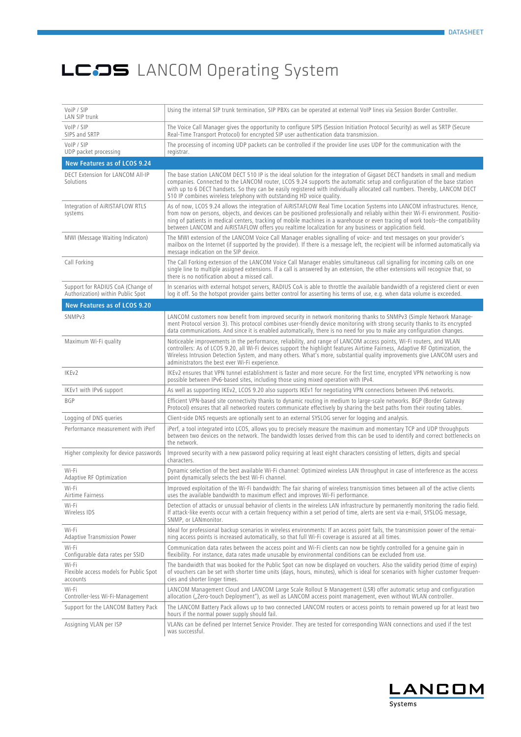| VoiP / SIP<br>LAN SIP trunk                                            | Using the internal SIP trunk termination, SIP PBXs can be operated at external VoIP lines via Session Border Controller.                                                                                                                                                                                                                                                                                                                                                                                   |
|------------------------------------------------------------------------|------------------------------------------------------------------------------------------------------------------------------------------------------------------------------------------------------------------------------------------------------------------------------------------------------------------------------------------------------------------------------------------------------------------------------------------------------------------------------------------------------------|
| VoIP / SIP<br>SIPS and SRTP                                            | The Voice Call Manager gives the opportunity to configure SIPS (Session Initiation Protocol Security) as well as SRTP (Secure<br>Real-Time Transport Protocol) for encrypted SIP user authentication data transmission.                                                                                                                                                                                                                                                                                    |
| VoIP / SIP<br>UDP packet processing                                    | The processing of incoming UDP packets can be controlled if the provider line uses UDP for the communication with the<br>registrar.                                                                                                                                                                                                                                                                                                                                                                        |
| New Features as of LCOS 9.24                                           |                                                                                                                                                                                                                                                                                                                                                                                                                                                                                                            |
| DECT Extension for LANCOM All-IP<br>Solutions                          | The base station LANCOM DECT 510 IP is the ideal solution for the integration of Gigaset DECT handsets in small and medium<br>companies. Connected to the LANCOM router, LCOS 9.24 supports the automatic setup and configuration of the base station<br>with up to 6 DECT handsets. So they can be easily registered with individually allocated call numbers. Thereby, LANCOM DECT<br>510 IP combines wireless telephony with outstanding HD voice quality.                                              |
| Integration of AIRISTAFLOW RTLS<br>systems                             | As of now, LCOS 9.24 allows the integration of AiRISTAFLOW Real Time Location Systems into LANCOM infrastructures. Hence,<br>from now on persons, objects, and devices can be positioned professionally and reliably within their Wi-Fi environment. Positio-<br>ning of patients in medical centers, tracking of mobile machines in a warehouse or even tracing of work tools-the compatibility<br>between LANCOM and AIRISTAFLOW offers you realtime localization for any business or application field. |
| MWI (Message Waiting Indicaton)                                        | The MWI extension of the LANCOM Voice Call Manager enables signalling of voice- and text messages on your provider's<br>mailbox on the Internet (if supported by the provider). If there is a message left, the recipient will be informed automatically via<br>message indication on the SIP device.                                                                                                                                                                                                      |
| Call Forking                                                           | The Call Forking extension of the LANCOM Voice Call Manager enables simultaneous call signalling for incoming calls on one<br>single line to multiple assigned extensions. If a call is answered by an extension, the other extensions will recognize that, so<br>there is no notification about a missed call.                                                                                                                                                                                            |
| Support for RADIUS CoA (Change of<br>Authorization) within Public Spot | In scenarios with external hotspot servers, RADIUS CoA is able to throttle the available bandwidth of a registered client or even<br>log it off. So the hotspot provider gains better control for asserting his terms of use, e.g. when data volume is exceeded.                                                                                                                                                                                                                                           |
| New Features as of LCOS 9.20                                           |                                                                                                                                                                                                                                                                                                                                                                                                                                                                                                            |
| SNMPv3                                                                 | LANCOM customers now benefit from improved security in network monitoring thanks to SNMPv3 (Simple Network Manage-<br>ment Protocol version 3). This protocol combines user-friendly device monitoring with strong security thanks to its encrypted<br>data communications. And since it is enabled automatically, there is no need for you to make any configuration changes.                                                                                                                             |
| Maximum Wi-Fi quality                                                  | Noticeable improvements in the performance, reliability, and range of LANCOM access points, Wi-Fi routers, and WLAN<br>controllers: As of LCOS 9.20, all Wi-Fi devices support the highlight features Airtime Fairness, Adaptive RF Optimization, the<br>Wireless Intrusion Detection System, and many others. What's more, substantial quality improvements give LANCOM users and<br>administrators the best ever Wi-Fi experience.                                                                       |
| IKEv2                                                                  | IKEv2 ensures that VPN tunnel establishment is faster and more secure. For the first time, encrypted VPN networking is now<br>possible between IPv6-based sites, including those using mixed operation with IPv4.                                                                                                                                                                                                                                                                                          |
| IKEv1 with IPv6 support                                                | As well as supporting IKEv2, LCOS 9.20 also supports IKEv1 for negotiating VPN connections between IPv6 networks.                                                                                                                                                                                                                                                                                                                                                                                          |
| <b>BGP</b>                                                             | Efficient VPN-based site connectivity thanks to dynamic routing in medium to large-scale networks. BGP (Border Gateway<br>Protocol) ensures that all networked routers communicate effectively by sharing the best paths from their routing tables.                                                                                                                                                                                                                                                        |
| Logging of DNS queries                                                 | Client-side DNS requests are optionally sent to an external SYSLOG server for logging and analysis.                                                                                                                                                                                                                                                                                                                                                                                                        |
| Performance measurement with iPerf                                     | iPerf, a tool integrated into LCOS, allows you to precisely measure the maximum and momentary TCP and UDP throughputs<br>between two devices on the network. The bandwidth losses derived from this can be used to identify and correct bottlenecks on<br>the network.                                                                                                                                                                                                                                     |
| Higher complexity for device passwords                                 | Improved security with a new password policy requiring at least eight characters consisting of letters, digits and special<br>characters.                                                                                                                                                                                                                                                                                                                                                                  |
| Wi-Fi<br>Adaptive RF Optimization                                      | Dynamic selection of the best available Wi-Fi channel: Optimized wireless LAN throughput in case of interference as the access<br>point dynamically selects the best Wi-Fi channel.                                                                                                                                                                                                                                                                                                                        |
| Wi-Fi<br>Airtime Fairness                                              | Improved exploitation of the Wi-Fi bandwidth: The fair sharing of wireless transmission times between all of the active clients<br>uses the available bandwidth to maximum effect and improves Wi-Fi performance.                                                                                                                                                                                                                                                                                          |
| Wi-Fi<br>Wireless IDS                                                  | Detection of attacks or unusual behavior of clients in the wireless LAN infrastructure by permanently monitoring the radio field.<br>If attack-like events occur with a certain frequency within a set period of time, alerts are sent via e-mail, SYSLOG message,<br>SNMP, or LANmonitor.                                                                                                                                                                                                                 |
| Wi-Fi<br><b>Adaptive Transmission Power</b>                            | Ideal for professional backup scenarios in wireless environments: If an access point fails, the transmission power of the remai-<br>ning access points is increased automatically, so that full Wi-Fi coverage is assured at all times.                                                                                                                                                                                                                                                                    |
| Wi-Fi<br>Configurable data rates per SSID                              | Communication data rates between the access point and Wi-Fi clients can now be tightly controlled for a genuine gain in<br>flexibility. For instance, data rates made unusable by environmental conditions can be excluded from use.                                                                                                                                                                                                                                                                       |
| Wi-Fi<br>Flexible access models for Public Spot<br>accounts            | The bandwidth that was booked for the Public Spot can now be displayed on vouchers. Also the validity period (time of expiry)<br>of vouchers can be set with shorter time units (days, hours, minutes), which is ideal for scenarios with higher customer frequen-<br>cies and shorter linger times.                                                                                                                                                                                                       |
| Wi-Fi<br>Controller-less Wi-Fi-Management                              | LANCOM Management Cloud and LANCOM Large Scale Rollout & Management (LSR) offer automatic setup and configuration<br>allocation ("Zero-touch Deployment"), as well as LANCOM access point management, even without WLAN controller.                                                                                                                                                                                                                                                                        |
| Support for the LANCOM Battery Pack                                    | The LANCOM Battery Pack allows up to two connected LANCOM routers or access points to remain powered up for at least two<br>hours if the normal power supply should fail.                                                                                                                                                                                                                                                                                                                                  |
| Assigning VLAN per ISP                                                 | VLANs can be defined per Internet Service Provider. They are tested for corresponding WAN connections and used if the test<br>was successful.                                                                                                                                                                                                                                                                                                                                                              |

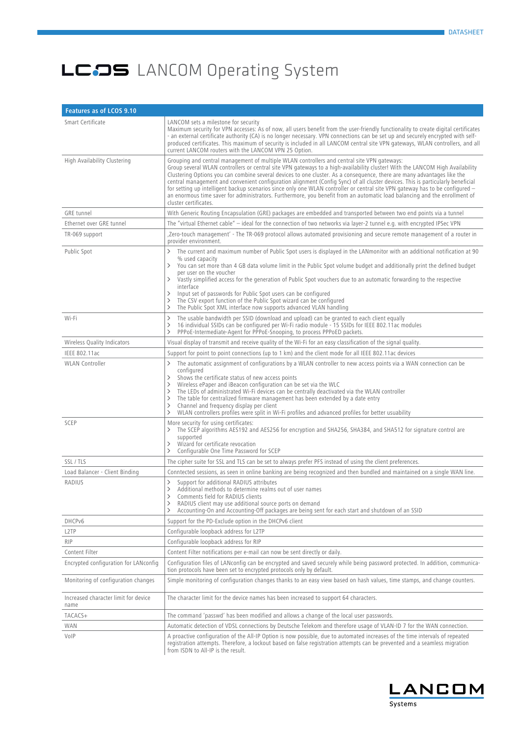| Features as of LCOS 9.10                     |                                                                                                                                                                                                                                                                                                                                                                                                                                                                                                                                                                                                                                                                                                                                                                                    |  |
|----------------------------------------------|------------------------------------------------------------------------------------------------------------------------------------------------------------------------------------------------------------------------------------------------------------------------------------------------------------------------------------------------------------------------------------------------------------------------------------------------------------------------------------------------------------------------------------------------------------------------------------------------------------------------------------------------------------------------------------------------------------------------------------------------------------------------------------|--|
| Smart Certificate                            | LANCOM sets a milestone for security<br>Maximum security for VPN accesses: As of now, all users benefit from the user-friendly functionality to create digital certificates<br>- an external certificate authority (CA) is no longer necessary. VPN connections can be set up and securely encrypted with self-<br>produced certificates. This maximum of security is included in all LANCOM central site VPN gateways, WLAN controllers, and all<br>current LANCOM routers with the LANCOM VPN 25 Option.                                                                                                                                                                                                                                                                         |  |
| High Availability Clustering                 | Grouping and central management of multiple WLAN controllers and central site VPN gateways:<br>Group several WLAN controllers or central site VPN gateways to a high-availability cluster! With the LANCOM High Availability<br>Clustering Options you can combine several devices to one cluster. As a consequence, there are many advantages like the<br>central management and convenient configuration alignment (Config Sync) of all cluster devices. This is particularly beneficial<br>for setting up intelligent backup scenarios since only one WLAN controller or central site VPN gateway has to be configured -<br>an enormous time saver for administrators. Furthermore, you benefit from an automatic load balancing and the enrollment of<br>cluster certificates. |  |
| <b>GRE</b> tunnel                            | With Generic Routing Encapsulation (GRE) packages are embedded and transported between two end points via a tunnel                                                                                                                                                                                                                                                                                                                                                                                                                                                                                                                                                                                                                                                                 |  |
| Ethernet over GRE tunnel                     | The "virtual Ethernet cable" $-$ ideal for the connection of two networks via layer-2 tunnel e.g. with encrypted IPSec VPN                                                                                                                                                                                                                                                                                                                                                                                                                                                                                                                                                                                                                                                         |  |
| TR-069 support                               | Zero-touch management' - The TR-069 protocol allows automated provisioning and secure remote management of a router in<br>provider environment.                                                                                                                                                                                                                                                                                                                                                                                                                                                                                                                                                                                                                                    |  |
| Public Spot                                  | The current and maximum number of Public Spot users is displayed in the LANmonitor with an additional notification at 90<br>% used capacity<br>You can set more than 4 GB data volume limit in the Public Spot volume budget and additionally print the defined budget<br>$\rightarrow$<br>per user on the voucher<br>Vastly simplified access for the generation of Public Spot vouchers due to an automatic forwarding to the respective<br>ゝ<br>interface<br>Input set of passwords for Public Spot users can be configured<br>The CSV export function of the Public Spot wizard can be configured<br>ゝ<br>The Public Spot XML interface now supports advanced VLAN handling<br>ゝ                                                                                               |  |
| Wi-Fi                                        | The usable bandwidth per SSID (download and upload) can be granted to each client equally<br>$\rightarrow$<br>16 individual SSIDs can be configured per Wi-Fi radio module - 15 SSIDs for IEEE 802.11ac modules<br>ゝ<br>PPPoE-Intermediate-Agent for PPPoE-Snooping, to process PPPoED packets.<br>$\rightarrow$                                                                                                                                                                                                                                                                                                                                                                                                                                                                   |  |
| Wireless Quality Indicators                  | Visual display of transmit and receive quality of the Wi-Fi for an easy classification of the signal quality.                                                                                                                                                                                                                                                                                                                                                                                                                                                                                                                                                                                                                                                                      |  |
| <b>IEEE 802.11ac</b>                         | Support for point to point connections (up to 1 km) and the client mode for all IEEE 802.11ac devices                                                                                                                                                                                                                                                                                                                                                                                                                                                                                                                                                                                                                                                                              |  |
| <b>WLAN</b> Controller                       | The automatic assignment of configurations by a WLAN controller to new access points via a WAN connection can be<br>$\left\langle \right\rangle$<br>configured<br>Shows the certificate status of new access points<br>Wireless ePaper and iBeacon configuration can be set via the WLC<br>ゝ<br>The LEDs of administrated Wi-Fi devices can be centrally deactivated via the WLAN controller<br>$\rightarrow$<br>The table for centralized firmware management has been extended by a date entry<br>Channel and frequency display per client<br>$\rightarrow$<br>WLAN controllers profiles were split in Wi-Fi profiles and advanced profiles for better usuability<br>ゝ                                                                                                           |  |
| SCEP                                         | More security for using certificates:<br>The SCEP algorithms AES192 and AES256 for encryption and SHA256, SHA384, and SHA512 for signature control are<br>supported<br>Wizard for certificate revocation<br>$\rightarrow$<br>Configurable One Time Password for SCEP<br>ゝ                                                                                                                                                                                                                                                                                                                                                                                                                                                                                                          |  |
| SSL / TLS                                    | The cipher suite for SSL and TLS can be set to always prefer PFS instead of using the client preferences.                                                                                                                                                                                                                                                                                                                                                                                                                                                                                                                                                                                                                                                                          |  |
| Load Balancer - Client Binding               | Conntected sessions, as seen in online banking are being recognized and then bundled and maintained on a single WAN line.                                                                                                                                                                                                                                                                                                                                                                                                                                                                                                                                                                                                                                                          |  |
| RADIUS                                       | Support for additional RADIUS attributes<br>Additional methods to determine realms out of user names<br>ゝ<br>Comments field for RADIUS clients<br>RADIUS client may use additional source ports on demand<br>><br>Accounting-On and Accounting-Off packages are being sent for each start and shutdown of an SSID<br>ゝ                                                                                                                                                                                                                                                                                                                                                                                                                                                             |  |
| DHCPv6                                       | Support for the PD-Exclude option in the DHCPv6 client                                                                                                                                                                                                                                                                                                                                                                                                                                                                                                                                                                                                                                                                                                                             |  |
| L2TP                                         | Configurable loopback address for L2TP                                                                                                                                                                                                                                                                                                                                                                                                                                                                                                                                                                                                                                                                                                                                             |  |
| <b>RIP</b>                                   | Configurable loopback address for RIP                                                                                                                                                                                                                                                                                                                                                                                                                                                                                                                                                                                                                                                                                                                                              |  |
| Content Filter                               | Content Filter notifications per e-mail can now be sent directly or daily.                                                                                                                                                                                                                                                                                                                                                                                                                                                                                                                                                                                                                                                                                                         |  |
| Encrypted configuration for LANconfig        | Configuration files of LANconfig can be encrypted and saved securely while being password protected. In addition, communica-<br>tion protocols have been set to encrypted protocols only by default.                                                                                                                                                                                                                                                                                                                                                                                                                                                                                                                                                                               |  |
| Monitoring of configuration changes          | Simple monitoring of configuration changes thanks to an easy view based on hash values, time stamps, and change counters.                                                                                                                                                                                                                                                                                                                                                                                                                                                                                                                                                                                                                                                          |  |
| Increased character limit for device<br>name | The character limit for the device names has been increased to support 64 characters.                                                                                                                                                                                                                                                                                                                                                                                                                                                                                                                                                                                                                                                                                              |  |
| TACACS+                                      | The command 'passwd' has been modified and allows a change of the local user passwords.                                                                                                                                                                                                                                                                                                                                                                                                                                                                                                                                                                                                                                                                                            |  |
| WAN                                          | Automatic detection of VDSL connections by Deutsche Telekom and therefore usage of VLAN-ID 7 for the WAN connection.                                                                                                                                                                                                                                                                                                                                                                                                                                                                                                                                                                                                                                                               |  |
| VoIP                                         | A proactive configuration of the All-IP Option is now possible, due to automated increases of the time intervals of repeated<br>registration attempts. Therefore, a lockout based on false registration attempts can be prevented and a seamless migration<br>from ISDN to All-IP is the result.                                                                                                                                                                                                                                                                                                                                                                                                                                                                                   |  |

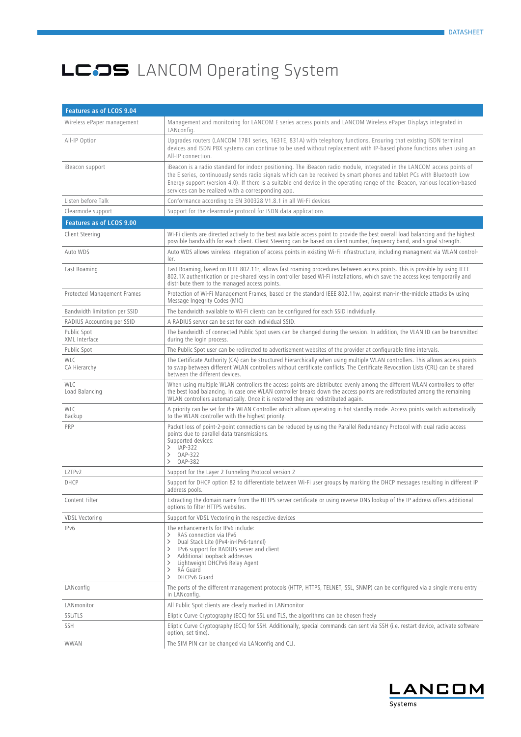| Features as of LCOS 9.04      |                                                                                                                                                                                                                                                                                                                                                                                                                                          |
|-------------------------------|------------------------------------------------------------------------------------------------------------------------------------------------------------------------------------------------------------------------------------------------------------------------------------------------------------------------------------------------------------------------------------------------------------------------------------------|
| Wireless ePaper management    | Management and monitoring for LANCOM E series access points and LANCOM Wireless ePaper Displays integrated in<br>LANconfig.                                                                                                                                                                                                                                                                                                              |
| All-IP Option                 | Upgrades routers (LANCOM 1781 series, 1631E, 831A) with telephony functions. Ensuring that existing ISDN terminal<br>devices and ISDN PBX systems can continue to be used without replacement with IP-based phone functions when using an<br>All-IP connection.                                                                                                                                                                          |
| iBeacon support               | iBeacon is a radio standard for indoor positioning. The iBeacon radio module, integrated in the LANCOM access points of<br>the E series, continuously sends radio signals which can be received by smart phones and tablet PCs with Bluetooth Low<br>Energy support (version 4.0). If there is a suitable end device in the operating range of the iBeacon, various location-based<br>services can be realized with a corresponding app. |
| Listen before Talk            | Conformance according to EN 300328 V1.8.1 in all Wi-Fi devices                                                                                                                                                                                                                                                                                                                                                                           |
| Clearmode support             | Support for the clearmode protocol for ISDN data applications                                                                                                                                                                                                                                                                                                                                                                            |
| Features as of LCOS 9.00      |                                                                                                                                                                                                                                                                                                                                                                                                                                          |
| Client Steering               | Wi-Fi clients are directed actively to the best available access point to provide the best overall load balancing and the highest<br>possible bandwidth for each client. Client Steering can be based on client number, frequency band, and signal strength.                                                                                                                                                                             |
| Auto WDS                      | Auto WDS allows wireless integration of access points in existing Wi-Fi infrastructure, including managment via WLAN control-<br>ler.                                                                                                                                                                                                                                                                                                    |
| Fast Roaming                  | Fast Roaming, based on IEEE 802.11r, allows fast roaming procedures between access points. This is possible by using IEEE<br>802.1X authentication or pre-shared keys in controller based Wi-Fi installations, which save the access keys temporarily and<br>distribute them to the managed access points.                                                                                                                               |
| Protected Management Frames   | Protection of Wi-Fi Management Frames, based on the standard IEEE 802.11w, against man-in-the-middle attacks by using<br>Message Ingegrity Codes (MIC)                                                                                                                                                                                                                                                                                   |
| Bandwidth limitation per SSID | The bandwidth available to Wi-Fi clients can be configured for each SSID individually.                                                                                                                                                                                                                                                                                                                                                   |
| RADIUS Accounting per SSID    | A RADIUS server can be set for each individual SSID.                                                                                                                                                                                                                                                                                                                                                                                     |
| Public Spot<br>XML Interface  | The bandwidth of connected Public Spot users can be changed during the session. In addition, the VLAN ID can be transmitted<br>during the login process.                                                                                                                                                                                                                                                                                 |
| Public Spot                   | The Public Spot user can be redirected to advertisement websites of the provider at configurable time intervals.                                                                                                                                                                                                                                                                                                                         |
| <b>WLC</b><br>CA Hierarchy    | The Certificate Authority (CA) can be structured hierarchically when using multiple WLAN controllers. This allows access points<br>to swap between different WLAN controllers without certificate conflicts. The Certificate Revocation Lists (CRL) can be shared<br>between the different devices.                                                                                                                                      |
| <b>WLC</b><br>Load Balancing  | When using multiple WLAN controllers the access points are distributed evenly among the different WLAN controllers to offer<br>the best load balancing. In case one WLAN controller breaks down the access points are redistributed among the remaining<br>WLAN controllers automatically. Once it is restored they are redistributed again.                                                                                             |
| WLC<br>Backup                 | A priority can be set for the WLAN Controller which allows operating in hot standby mode. Access points switch automatically<br>to the WLAN controller with the highest priority.                                                                                                                                                                                                                                                        |
| PRP                           | Packet loss of point-2-point connections can be reduced by using the Parallel Redundancy Protocol with dual radio access<br>points due to parallel data transmissions.<br>Supported devices:<br>$\geq$ IAP-322<br>OAP-322<br>$\rightarrow$<br><b>OAP-382</b><br>$\rightarrow$                                                                                                                                                            |
| L2TPv2                        | Support for the Layer 2 Tunneling Protocol version 2                                                                                                                                                                                                                                                                                                                                                                                     |
| DHCP                          | Support for DHCP option 82 to differentiate between Wi-Fi user groups by marking the DHCP messages resulting in different IP<br>address pools.                                                                                                                                                                                                                                                                                           |
| Content Filter                | Extracting the domain name from the HTTPS server certificate or using reverse DNS lookup of the IP address offers additional<br>options to filter HTTPS websites.                                                                                                                                                                                                                                                                        |
| <b>VDSL Vectoring</b>         | Support for VDSL Vectoring in the respective devices                                                                                                                                                                                                                                                                                                                                                                                     |
| IPv6                          | The enhancements for IPv6 include:<br>RAS connection via IPv6<br>$\rightarrow$<br>Dual Stack Lite (IPv4-in-IPv6-tunnel)<br>ゝ<br>IPv6 support for RADIUS server and client<br>$\rightarrow$<br>Additional loopback addresses<br>ゝ<br>Lightweight DHCPv6 Relay Agent<br>ゝ<br>RA Guard<br>$\rightarrow$<br>DHCPv6 Guard<br>$\rightarrow$                                                                                                    |
| LANconfig                     | The ports of the different management protocols (HTTP, HTTPS, TELNET, SSL, SNMP) can be configured via a single menu entry<br>in LANconfig.                                                                                                                                                                                                                                                                                              |
| LANmonitor                    | All Public Spot clients are clearly marked in LANmonitor                                                                                                                                                                                                                                                                                                                                                                                 |
| <b>SSL/TLS</b>                | Eliptic Curve Cryptography (ECC) for SSL und TLS, the algorithms can be chosen freely                                                                                                                                                                                                                                                                                                                                                    |
| SSH                           | Eliptic Curve Cryptography (ECC) for SSH. Additionally, special commands can sent via SSH (i.e. restart device, activate software<br>option, set time).                                                                                                                                                                                                                                                                                  |
| WWAN                          | The SIM PIN can be changed via LANconfig and CLI.                                                                                                                                                                                                                                                                                                                                                                                        |

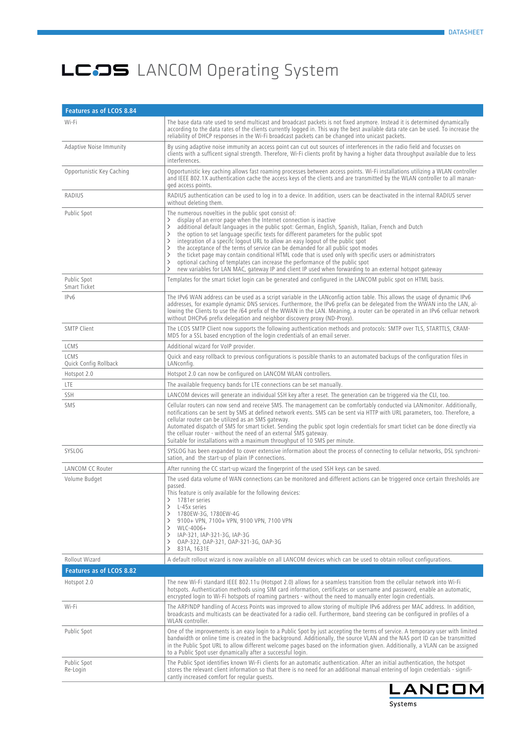| <b>Features as of LCOS 8.84</b> |                                                                                                                                                                                                                                                                                                                                                                                                                                                                                                                                                                                                                                                                                                                                                                                                                                                                                                                                            |  |  |
|---------------------------------|--------------------------------------------------------------------------------------------------------------------------------------------------------------------------------------------------------------------------------------------------------------------------------------------------------------------------------------------------------------------------------------------------------------------------------------------------------------------------------------------------------------------------------------------------------------------------------------------------------------------------------------------------------------------------------------------------------------------------------------------------------------------------------------------------------------------------------------------------------------------------------------------------------------------------------------------|--|--|
| Wi-Fi                           | The base data rate used to send multicast and broadcast packets is not fixed anymore. Instead it is determined dynamically<br>according to the data rates of the clients currently logged in. This way the best available data rate can be used. To increase the<br>reliability of DHCP responses in the Wi-Fi broadcast packets can be changed into unicast packets.                                                                                                                                                                                                                                                                                                                                                                                                                                                                                                                                                                      |  |  |
| <b>Adaptive Noise Immunity</b>  | By using adaptive noise immunity an access point can cut out sources of interferences in the radio field and focusses on<br>clients with a sufficent signal strength. Therefore, Wi-Fi clients profit by having a higher data throughput available due to less<br>interferences.                                                                                                                                                                                                                                                                                                                                                                                                                                                                                                                                                                                                                                                           |  |  |
| Opportunistic Key Caching       | Opportunistic key caching allows fast roaming processes between access points. Wi-Fi installations utilizing a WLAN controller<br>and IEEE 802.1X authentication cache the access keys of the clients and are transmitted by the WLAN controller to all manan-<br>ged access points.                                                                                                                                                                                                                                                                                                                                                                                                                                                                                                                                                                                                                                                       |  |  |
| <b>RADIUS</b>                   | RADIUS authentication can be used to log in to a device. In addition, users can be deactivated in the internal RADIUS server<br>without deleting them.                                                                                                                                                                                                                                                                                                                                                                                                                                                                                                                                                                                                                                                                                                                                                                                     |  |  |
| Public Spot                     | The numerous novelties in the public spot consist of:<br>display of an error page when the Internet connection is inactive<br>$\left\langle \right\rangle$<br>additional default languages in the public spot: German, English, Spanish, Italian, French and Dutch<br>$\rightarrow$<br>the option to set language specific texts for different parameters for the public spot<br>$\rightarrow$<br>integration of a specifc logout URL to allow an easy logout of the public spot<br>ゝ<br>the acceptance of the terms of service can be demanded for all public spot modes<br>$\rightarrow$<br>the ticket page may contain conditional HTML code that is used only with specific users or administrators<br>$\rightarrow$<br>optional caching of templates can increase the performance of the public spot<br>ゝ<br>new variables for LAN MAC, gateway IP and client IP used when forwarding to an external hotspot gateway<br>$\rightarrow$ |  |  |
| Public Spot<br>Smart Ticket     | Templates for the smart ticket login can be generated and configured in the LANCOM public spot on HTML basis.                                                                                                                                                                                                                                                                                                                                                                                                                                                                                                                                                                                                                                                                                                                                                                                                                              |  |  |
| IPv6                            | The IPv6 WAN address can be used as a script variable in the LANconfig action table. This allows the usage of dynamic IPv6<br>addresses, for example dynamic DNS services. Furthermore, the IPv6 prefix can be delegated from the WWAN into the LAN, al-<br>lowing the Clients to use the /64 prefix of the WWAN in the LAN. Meaning, a router can be operated in an IPv6 celluar network<br>without DHCPv6 prefix delegation and neighbor discovery proxy (ND-Proxy).                                                                                                                                                                                                                                                                                                                                                                                                                                                                     |  |  |
| <b>SMTP Client</b>              | The LCOS SMTP Client now supports the following authentication methods and protocols: SMTP over TLS, STARTTLS, CRAM-<br>MD5 for a SSL based encryption of the login credentials of an email server.                                                                                                                                                                                                                                                                                                                                                                                                                                                                                                                                                                                                                                                                                                                                        |  |  |
| LCMS                            | Additional wizard for VoIP provider.                                                                                                                                                                                                                                                                                                                                                                                                                                                                                                                                                                                                                                                                                                                                                                                                                                                                                                       |  |  |
| LCMS<br>Quick Config Rollback   | Quick and easy rollback to previous configurations is possible thanks to an automated backups of the configuration files in<br>LANconfig.                                                                                                                                                                                                                                                                                                                                                                                                                                                                                                                                                                                                                                                                                                                                                                                                  |  |  |
| Hotspot 2.0                     | Hotspot 2.0 can now be configured on LANCOM WLAN controllers.                                                                                                                                                                                                                                                                                                                                                                                                                                                                                                                                                                                                                                                                                                                                                                                                                                                                              |  |  |
| <b>LTE</b>                      | The available frequency bands for LTE connections can be set manually.                                                                                                                                                                                                                                                                                                                                                                                                                                                                                                                                                                                                                                                                                                                                                                                                                                                                     |  |  |
| <b>SSH</b>                      | LANCOM devices will generate an individual SSH key after a reset. The generation can be triggered via the CLI, too.                                                                                                                                                                                                                                                                                                                                                                                                                                                                                                                                                                                                                                                                                                                                                                                                                        |  |  |
| SMS                             | Cellular routers can now send and receive SMS. The management can be comfortably conducted via LANmonitor. Additionally,<br>notifications can be sent by SMS at defined network events. SMS can be sent via HTTP with URL parameters, too. Therefore, a<br>cellular router can be utilized as an SMS gateway.<br>Automated dispatch of SMS for smart ticket. Sending the public spot login credentials for smart ticket can be done directly via<br>the celluar router - without the need of an external SMS gateway.<br>Suitable for installations with a maximum throughput of 10 SMS per minute.                                                                                                                                                                                                                                                                                                                                        |  |  |
| SYSLOG                          | SYSLOG has been expanded to cover extensive information about the process of connecting to cellular networks, DSL synchroni-<br>sation, and the start-up of plain IP connections.                                                                                                                                                                                                                                                                                                                                                                                                                                                                                                                                                                                                                                                                                                                                                          |  |  |
| <b>LANCOM CC Router</b>         | After running the CC start-up wizard the fingerprint of the used SSH keys can be saved.                                                                                                                                                                                                                                                                                                                                                                                                                                                                                                                                                                                                                                                                                                                                                                                                                                                    |  |  |
| Volume Budget                   | The used data volume of WAN connections can be monitored and different actions can be triggered once certain thresholds are<br>passed.<br>This feature is only available for the following devices:<br>1781er series<br>⟩<br>L-45x series<br>$\rightarrow$<br>1780EW-3G, 1780EW-4G<br>$\rightarrow$<br>9100+ VPN, 7100+ VPN, 9100 VPN, 7100 VPN<br>$\rightarrow$<br>$\rightarrow$<br>WLC-4006+<br>IAP-321, IAP-321-3G, IAP-3G<br>ゝ<br>OAP-322, OAP-321, OAP-321-3G, OAP-3G<br>ゝ<br>$\rightarrow$<br>831A, 1631E                                                                                                                                                                                                                                                                                                                                                                                                                            |  |  |
| Rollout Wizard                  | A default rollout wizard is now available on all LANCOM devices which can be used to obtain rollout configurations.                                                                                                                                                                                                                                                                                                                                                                                                                                                                                                                                                                                                                                                                                                                                                                                                                        |  |  |
| Features as of LCOS 8.82        |                                                                                                                                                                                                                                                                                                                                                                                                                                                                                                                                                                                                                                                                                                                                                                                                                                                                                                                                            |  |  |
| Hotspot 2.0                     | The new Wi-Fi standard IEEE 802.11u (Hotspot 2.0) allows for a seamless transition from the cellular network into Wi-Fi<br>hotspots. Authentication methods using SIM card information, certificates or username and password, enable an automatic,<br>encrypted login to Wi-Fi hotspots of roaming partners - without the need to manually enter login credentials.                                                                                                                                                                                                                                                                                                                                                                                                                                                                                                                                                                       |  |  |
| Wi-Fi                           | The ARP/NDP handling of Access Points was improved to allow storing of multiple IPv6 address per MAC address. In addition,<br>broadcasts and multicasts can be deactivated for a radio cell. Furthermore, band steering can be configured in profiles of a<br>WLAN controller.                                                                                                                                                                                                                                                                                                                                                                                                                                                                                                                                                                                                                                                             |  |  |
| Public Spot                     | One of the improvements is an easy login to a Public Spot by just accepting the terms of service. A temporary user with limited<br>bandwidth or online time is created in the background. Additionally, the source VLAN and the NAS port ID can be transmitted<br>in the Public Spot URL to allow different welcome pages based on the information given. Additionally, a VLAN can be assigned<br>to a Public Spot user dynamically after a successful login.                                                                                                                                                                                                                                                                                                                                                                                                                                                                              |  |  |
| Public Spot<br>Re-Login         | The Public Spot identifies known Wi-Fi clients for an automatic authentication. After an initial authentication, the hotspot<br>stores the relevant client information so that there is no need for an additional manual entering of login credentials - signifi-<br>cantly increased comfort for regular quests.                                                                                                                                                                                                                                                                                                                                                                                                                                                                                                                                                                                                                          |  |  |

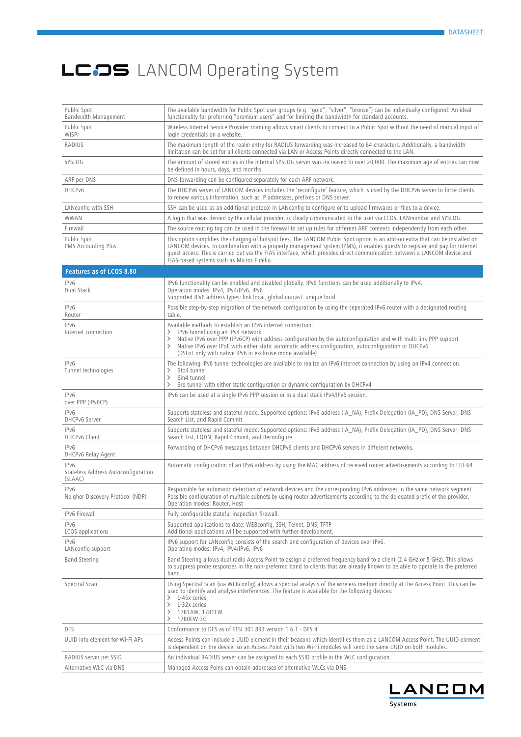| Public Spot<br>Bandwidth Management                    | The available bandwidth for Public Spot user groups (e.g. "gold", "silver", "bronze") can be individually configured: An ideal<br>functionality for preferring "premium users" and for limiting the bandwidth for standard accounts.                                                                                                                                                                                                    |
|--------------------------------------------------------|-----------------------------------------------------------------------------------------------------------------------------------------------------------------------------------------------------------------------------------------------------------------------------------------------------------------------------------------------------------------------------------------------------------------------------------------|
| Public Spot<br>WISPr                                   | Wireless Internet Service Provider roaming allows smart clients to connect to a Public Spot without the need of manual input of<br>login credentials on a website.                                                                                                                                                                                                                                                                      |
| RADIUS                                                 | The maximum length of the realm entry for RADIUS forwarding was increased to 64 characters. Additionally, a bandwidth<br>limitation can be set for all clients connected via LAN or Access Points directly connected to the LAN.                                                                                                                                                                                                        |
| SYSLOG                                                 | The amount of stored entries in the internal SYSLOG server was increased to over 20,000. The maximum age of entries can now<br>be defined in hours, days, and months.                                                                                                                                                                                                                                                                   |
| ARF per DNS                                            | DNS forwarding can be configured separately for each ARF network.                                                                                                                                                                                                                                                                                                                                                                       |
| DHCPv6                                                 | The DHCPv6 server of LANCOM devices includes the 'reconfigure' feature, which is used by the DHCPv6 server to force clients<br>to renew various information, such as IP addresses, prefixes or DNS server.                                                                                                                                                                                                                              |
| LANconfig with SSH                                     | SSH can be used as an additional protocol in LANconfig to configure or to upload firmwares or files to a device.                                                                                                                                                                                                                                                                                                                        |
| WWAN                                                   | A login that was denied by the cellular provider, is clearly communicated to the user via LCOS, LANmonitor and SYSLOG.                                                                                                                                                                                                                                                                                                                  |
| Firewall                                               | The source routing tag can be used in the firewall to set up rules for different ARF contexts independently from each other.                                                                                                                                                                                                                                                                                                            |
| Public Spot<br><b>PMS Accounting Plus</b>              | This option simplifies the charging of hotspot fees. The LANCOM Public Spot option is an add-on extra that can be installed on<br>LANCOM devices. In combination with a property management system (PMS), it enables quests to register and pay for Internet<br>quest access. This is carried out via the FIAS interface, which provides direct communication between a LANCOM device and<br>FIAS-based systems such as Micros Fidelio. |
| <b>Features as of LCOS 8.80</b>                        |                                                                                                                                                                                                                                                                                                                                                                                                                                         |
| IPv6<br>Dual Stack                                     | IPv6 functionality can be enabled and disabled globally. IPv6 functions can be used additionally to IPv4.<br>Operation modes: IPv4, IPv4/IPv6, IPv6<br>Supported IPv6 address types: link local, global unicast. unique local                                                                                                                                                                                                           |
| IPv6<br>Router                                         | Possible step-by-step migration of the network configuration by using the seperated IPv6 router with a designated routing<br>table.                                                                                                                                                                                                                                                                                                     |
| IPv6<br>Internet connection                            | Available methods to establish an IPv6 internet connection:<br>IPv6 tunnel using an IPv4 network<br>$\rightarrow$<br>Native IPv6 over PPP (IPv6CP) with address configuration by the autoconfiguration and with multi link PPP support<br>ゝ<br>Native IPv6 over IPoE with either static automatic address configuration, autoconfiguration or DHCPv6<br>ゝ<br>(DSLoL only with native IPv6 in exclusive mode available)                  |
| IPv6<br>Tunnel technologies                            | The following IPv6 tunnel technologies are available to realize an IPv6 internet connection by using an IPv4 connection.<br>6to4 tunnel<br>ゝ<br>6in4 tunnel<br>$\rightarrow$<br>6rd tunnel with either static configuration or dynamic configuration by DHCPv4<br>ゝ                                                                                                                                                                     |
| IPv6<br>over PPP (IPv6CP)                              | IPv6 can be used at a single IPv6 PPP session or in a dual stack IPv4/IPv6 session.                                                                                                                                                                                                                                                                                                                                                     |
| IPv6<br><b>DHCPv6 Server</b>                           | Supports stateless and stateful mode. Supported options: IPv6 address (IA_NA), Prefix Delegation (IA_PD), DNS Server, DNS<br>Search List, and Rapid Commit                                                                                                                                                                                                                                                                              |
| IPv6<br><b>DHCPv6 Client</b>                           | Supports stateless and stateful mode. Supported options: IPv6 address (IA_NA), Prefix Delegation (IA_PD), DNS Server, DNS<br>Search List, FQDN, Rapid Commit, and Reconfigure.                                                                                                                                                                                                                                                          |
| IPv6<br>DHCPv6 Relay Agent                             | Forwarding of DHCPv6 messages between DHCPv6 clients and DHCPv6 servers in different networks.                                                                                                                                                                                                                                                                                                                                          |
| IPv6<br>Stateless Address Autoconfiguration<br>(SLAAC) | Automatic configuration of an IPv6 address by using the MAC address of received router advertisements according to EUI-64.                                                                                                                                                                                                                                                                                                              |
| IP <sub>v</sub> 6<br>Neighor Discovery Protocol (NDP)  | Responsible for automatic detection of network devices and the corresponding IPv6 addresses in the same network segment.<br>Possible configuration of multiple subnets by using router advertisements according to the delegated prefix of the provider.<br>Operation modes: Router, Host                                                                                                                                               |
| IPv6 Firewall                                          | Fully configurable stateful inspection firewall.                                                                                                                                                                                                                                                                                                                                                                                        |
| IPv6<br>LCOS applications                              | Supported applications to date: WEBconfig, SSH, Telnet, DNS, TFTP<br>Additional applications will be supported with further development.                                                                                                                                                                                                                                                                                                |
| IPv6<br>LANconfig support                              | IPv6 support for LANconfig consists of the search and configuration of devices over IPv6.<br>Operating modes: IPv4, IPv4/IPv6, IPv6                                                                                                                                                                                                                                                                                                     |
| <b>Band Steering</b>                                   | Band Steering allows dual radio Access Point to assign a preferred frequency band to a client (2.4 GHz or 5 GHz). This allows<br>to suppress probe responses in the non-preferred band to clients that are already known to be able to operate in the preferred<br>band.                                                                                                                                                                |
| Spectral Scan                                          | Using Spectral Scan (via WEBconfig) allows a spectral analysis of the wireless medium directly at the Access Point. This can be<br>used to identify and analyse interferences. The feature is available for the following devices:<br>L-45x series<br>≻<br>L-32x series<br>$\rightarrow$<br>1781AW, 1781EW<br>ゝ<br>1780EW-3G<br>ゝ                                                                                                       |
| DFS                                                    | Conformance to DFS as of ETSI 301 893 version 1.6.1 - DFS 4                                                                                                                                                                                                                                                                                                                                                                             |
| UUID info element for Wi-Fi APs                        | Access Points can include a UUID element in their beacons which identifies them as a LANCOM Access Point. The UUID element<br>is dependent on the device, so an Access Point with two Wi-Fi modules will send the same UUID on both modules.                                                                                                                                                                                            |
| RADIUS server per SSID                                 | An individual RADIUS server can be assigned to each SSID profile in the WLC configuration.                                                                                                                                                                                                                                                                                                                                              |
| Alternative WLC via DNS                                | Managed Access Poins can obtain addresses of alternative WLCs via DNS.                                                                                                                                                                                                                                                                                                                                                                  |

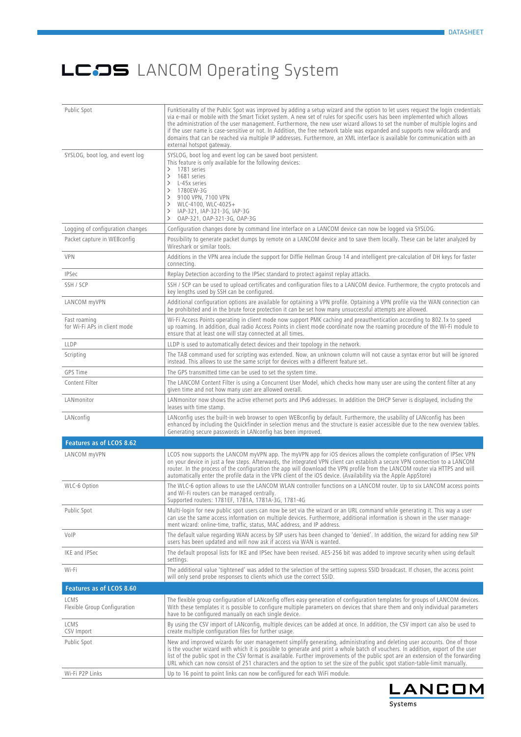| Public Spot                                  | Funktionality of the Public Spot was improved by adding a setup wizard and the option to let users request the login credentials<br>via e-mail or mobile with the Smart Ticket system. A new set of rules for specific users has been implemented which allows<br>the administration of the user management. Furthermore, the new user wizard allows to set the number of multiple logins and<br>if the user name is case-sensitive or not. In Addition, the free network table was expanded and supports now wildcards and<br>domains that can be reached via multiple IP addresses. Furthermore, an XML interface is available for communication with an<br>external hotspot gateway. |
|----------------------------------------------|-----------------------------------------------------------------------------------------------------------------------------------------------------------------------------------------------------------------------------------------------------------------------------------------------------------------------------------------------------------------------------------------------------------------------------------------------------------------------------------------------------------------------------------------------------------------------------------------------------------------------------------------------------------------------------------------|
| SYSLOG, boot log, and event log              | SYSLOG, boot log and event log can be saved boot persistent.<br>This feature is only available for the following devices:<br>1781 series<br>$\rightarrow$<br>1681 series<br>$\rightarrow$<br>L-45x series<br>$\rightarrow$<br>1780EW-3G<br>$\rightarrow$<br>9100 VPN, 7100 VPN<br>ゝ<br>WLC-4100, WLC-4025+<br>ゝ<br>IAP-321, IAP-321-3G, IAP-3G<br>ゝ<br>OAP-321, OAP-321-3G, OAP-3G<br>$\rightarrow$                                                                                                                                                                                                                                                                                     |
| Logging of configuration changes             | Configuration changes done by command line interface on a LANCOM device can now be logged via SYSLOG.                                                                                                                                                                                                                                                                                                                                                                                                                                                                                                                                                                                   |
| Packet capture in WEBconfig                  | Possibility to generate packet dumps by remote on a LANCOM device and to save them locally. These can be later analyzed by<br>Wireshark or similar tools.                                                                                                                                                                                                                                                                                                                                                                                                                                                                                                                               |
| <b>VPN</b>                                   | Additions in the VPN area include the support for Diffie Hellman Group 14 and intelligent pre-calculation of DH keys for faster<br>connecting.                                                                                                                                                                                                                                                                                                                                                                                                                                                                                                                                          |
| <b>IPSec</b>                                 | Replay Detection according to the IPSec standard to protect against replay attacks.                                                                                                                                                                                                                                                                                                                                                                                                                                                                                                                                                                                                     |
| SSH / SCP                                    | SSH / SCP can be used to upload certificates and configuration files to a LANCOM device. Furthermore, the crypto protocols and<br>key lengths used by SSH can be configured.                                                                                                                                                                                                                                                                                                                                                                                                                                                                                                            |
| LANCOM myVPN                                 | Additional configuration options are available for optaining a VPN profile. Optaining a VPN profile via the WAN connection can<br>be prohibited and in the brute force protection it can be set how many unsuccessful attempts are allowed.                                                                                                                                                                                                                                                                                                                                                                                                                                             |
| Fast roaming<br>for Wi-Fi APs in client mode | Wi-Fi Access Points operating in client mode now support PMK caching and preauthentication according to 802.1x to speed<br>up roaming. In addition, dual radio Access Points in client mode coordinate now the roaming procedure of the Wi-Fi module to<br>ensure that at least one will stay connected at all times.                                                                                                                                                                                                                                                                                                                                                                   |
| LLDP                                         | LLDP is used to automatically detect devices and their topology in the network.                                                                                                                                                                                                                                                                                                                                                                                                                                                                                                                                                                                                         |
| Scripting                                    | The TAB command used for scripting was extended. Now, an unknown column will not cause a syntax error but will be ignored<br>instead. This allows to use the same script for devices with a different feature set.                                                                                                                                                                                                                                                                                                                                                                                                                                                                      |
| GPS Time                                     | The GPS transmitted time can be used to set the system time.                                                                                                                                                                                                                                                                                                                                                                                                                                                                                                                                                                                                                            |
| Content Filter                               | The LANCOM Content Filter is using a Concurrent User Model, which checks how many user are using the content filter at any<br>given time and not how many user are allowed overall.                                                                                                                                                                                                                                                                                                                                                                                                                                                                                                     |
| LANmonitor                                   | LANmonitor now shows the active ethernet ports and IPv6 addresses. In addition the DHCP Server is displayed, including the<br>leases with time stamp.                                                                                                                                                                                                                                                                                                                                                                                                                                                                                                                                   |
| LANconfig                                    | LANconfig uses the built-in web browser to open WEBconfig by default. Furthermore, the usability of LANconfig has been<br>enhanced by including the Quickfinder in selection menus and the structure is easier accessible due to the new overview tables.<br>Generating secure passwords in LANconfig has been improved.                                                                                                                                                                                                                                                                                                                                                                |
| Features as of LCOS 8.62                     |                                                                                                                                                                                                                                                                                                                                                                                                                                                                                                                                                                                                                                                                                         |
| LANCOM myVPN                                 | LCOS now supports the LANCOM myVPN app. The myVPN app for iOS devices allows the complete configuration of IPSec VPN<br>on your device in just a few steps. Afterwards, the integrated VPN client can establish a secure VPN connection to a LANCOM<br>router. In the process of the configuration the app will download the VPN profile from the LANCOM router via HTTPS and will<br>automatically enter the profile data in the VPN client of the iOS device. (Availability via the Apple AppStore)                                                                                                                                                                                   |
| WLC-6 Option                                 | The WLC-6 option allows to use the LANCOM WLAN controller functions on a LANCOM router. Up to six LANCOM access points<br>and Wi-Fi routers can be managed centrally.<br>Supported routers: 1781EF, 1781A, 1781A-3G, 1781-4G                                                                                                                                                                                                                                                                                                                                                                                                                                                            |
| Public Spot                                  | Multi-login for new public spot users can now be set via the wizard or an URL command while generating it. This way a user<br>can use the same access information on multiple devices. Furthermore, additional information is shown in the user manage-<br>ment wizard: online-time, traffic, status, MAC address, and IP address.                                                                                                                                                                                                                                                                                                                                                      |
| VolP                                         | The default value regarding WAN access by SIP users has been changed to 'denied'. In addition, the wizard for adding new SIP<br>users has been updated and will now ask if access via WAN is wanted.                                                                                                                                                                                                                                                                                                                                                                                                                                                                                    |
| IKE and IPSec                                | The default proposal lists for IKE and IPSec have been revised. AES-256 bit was added to improve security when using default<br>settings.                                                                                                                                                                                                                                                                                                                                                                                                                                                                                                                                               |
| Wi-Fi                                        | The additional value 'tightened' was added to the selection of the setting supress SSID broadcast. If chosen, the access point<br>will only send probe responses to clients which use the correct SSID.                                                                                                                                                                                                                                                                                                                                                                                                                                                                                 |
| Features as of LCOS 8.60                     |                                                                                                                                                                                                                                                                                                                                                                                                                                                                                                                                                                                                                                                                                         |
| LCMS<br>Flexible Group Configuration         | The flexible group configuration of LANconfig offers easy generation of configuration templates for groups of LANCOM devices.<br>With these templates it is possible to configure multiple parameters on devices that share them and only individual parameters<br>have to be configured manually on each single device.                                                                                                                                                                                                                                                                                                                                                                |
| LCMS<br>CSV Import                           | By using the CSV import of LANconfig, multiple devices can be added at once. In addition, the CSV import can also be used to<br>create multiple configuration files for further usage.                                                                                                                                                                                                                                                                                                                                                                                                                                                                                                  |
| Public Spot                                  | New and improved wizards for user management simplify generating, administrating and deleting user accounts. One of those<br>is the voucher wizard with which it is possible to generate and print a whole batch of vouchers. In addition, export of the user<br>list of the public spot in the CSV format is available. Further improvements of the public spot are an extension of the forwarding<br>URL which can now consist of 251 characters and the option to set the size of the public spot station-table-limit manually.                                                                                                                                                      |
| Wi-Fi P2P Links                              | Up to 16 point to point links can now be configured for each WiFi module.                                                                                                                                                                                                                                                                                                                                                                                                                                                                                                                                                                                                               |

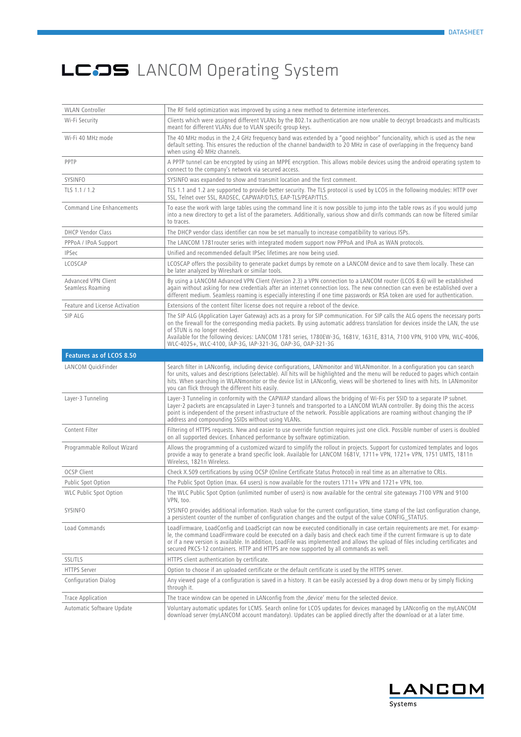| <b>WLAN</b> Controller                  | The RF field optimization was improved by using a new method to determine interferences.                                                                                                                                                                                                                                                                                                                                                                                                  |
|-----------------------------------------|-------------------------------------------------------------------------------------------------------------------------------------------------------------------------------------------------------------------------------------------------------------------------------------------------------------------------------------------------------------------------------------------------------------------------------------------------------------------------------------------|
| Wi-Fi Security                          | Clients which were assigned different VLANs by the 802.1x authentication are now unable to decrypt broadcasts and multicasts<br>meant for different VLANs due to VLAN specifc group keys.                                                                                                                                                                                                                                                                                                 |
| Wi-Fi 40 MHz mode                       | The 40 MHz modus in the 2,4 GHz frequency band was extended by a "good neighbor" funcionality, which is used as the new<br>default setting. This ensures the reduction of the channel bandwidth to 20 MHz in case of overlapping in the frequency band<br>when using 40 MHz channels.                                                                                                                                                                                                     |
| PPTP                                    | A PPTP tunnel can be encrypted by using an MPPE encryption. This allows mobile devices using the android operating system to<br>connect to the company's network via secured access.                                                                                                                                                                                                                                                                                                      |
| SYSINFO                                 | SYSINFO was expanded to show and transmit location and the first comment.                                                                                                                                                                                                                                                                                                                                                                                                                 |
| TLS 1.1 / 1.2                           | TLS 1.1 and 1.2 are supported to provide better security. The TLS protocol is used by LCOS in the following modules: HTTP over<br>SSL, Telnet over SSL, RADSEC, CAPWAP/DTLS, EAP-TLS/PEAP/TTLS.                                                                                                                                                                                                                                                                                           |
| Command Line Enhancements               | To ease the work with large tables using the command line it is now possible to jump into the table rows as if you would jump<br>into a new directory to get a list of the parameters. Additionally, various show and dir/ls commands can now be filtered similar<br>to traces.                                                                                                                                                                                                           |
| <b>DHCP Vendor Class</b>                | The DHCP vendor class identifier can now be set manually to increase compatibility to various ISPs.                                                                                                                                                                                                                                                                                                                                                                                       |
| PPPoA / IPoA Support                    | The LANCOM 1781 router series with integrated modem support now PPPoA and IPoA as WAN protocols.                                                                                                                                                                                                                                                                                                                                                                                          |
| <b>IPSec</b>                            | Unified and recommended default IPSec lifetimes are now being used.                                                                                                                                                                                                                                                                                                                                                                                                                       |
| LCOSCAP                                 | LCOSCAP offers the possibility to generate packet dumps by remote on a LANCOM device and to save them locally. These can<br>be later analyzed by Wireshark or similar tools.                                                                                                                                                                                                                                                                                                              |
| Advanced VPN Client<br>Seamless Roaming | By using a LANCOM Advanced VPN Client (Version 2.3) a VPN connection to a LANCOM router (LCOS 8.6) will be established<br>again without asking for new credentials after an internet connection loss. The new connection can even be established over a<br>different medium. Seamless roaming is especially interesting if one time passwords or RSA token are used for authentication.                                                                                                   |
| Feature and License Activation          | Extensions of the content filter license does not require a reboot of the device.                                                                                                                                                                                                                                                                                                                                                                                                         |
| SIP ALG                                 | The SIP ALG (Application Layer Gateway) acts as a proxy for SIP communication. For SIP calls the ALG opens the necessary ports<br>on the firewall for the corresponding media packets. By using automatic address translation for devices inside the LAN, the use<br>of STUN is no longer needed.<br>Available for the following devices: LANCOM 1781 series, 1780EW-3G, 1681V, 1631E, 831A, 7100 VPN, 9100 VPN, WLC-4006,<br>WLC-4025+, WLC-4100, IAP-3G, IAP-321-3G, OAP-3G, OAP-321-3G |
| Features as of LCOS 8.50                |                                                                                                                                                                                                                                                                                                                                                                                                                                                                                           |
| LANCOM QuickFinder                      | Search filter in LANconfig, including device configurations, LANmonitor and WLANmonitor. In a configuration you can search<br>for units, values and descriptions (selectable). All hits will be highlighted and the menu will be reduced to pages which contain<br>hits. When searching in WLANmonitor or the device list in LANconfig, views will be shortened to lines with hits. In LANmonitor<br>you can flick through the different hits easily.                                     |
| Layer-3 Tunneling                       | Layer-3 Tunneling in conformity with the CAPWAP standard allows the bridging of Wi-Fis per SSID to a separate IP subnet.<br>Layer-2 packets are encapsulated in Layer-3 tunnels and transported to a LANCOM WLAN controller. By doing this the access<br>point is independent of the present infrastructure of the network. Possible applications are roaming without changing the IP<br>address and compounding SSIDs without using VLANs.                                               |
| Content Filter                          | Filtering of HTTPS requests. New and easier to use override function requires just one click. Possible number of users is doubled<br>on all supported devices. Enhanced performance by software optimization.                                                                                                                                                                                                                                                                             |
| Programmable Rollout Wizard             | Allows the programming of a customized wizard to simplify the rollout in projects. Support for customized templates and logos<br>provide a way to generate a brand specific look. Available for LANCOM 1681V, 1711+ VPN, 1721+ VPN, 1751 UMTS, 1811n<br>Wireless, 1821n Wireless.                                                                                                                                                                                                         |
| <b>OCSP Client</b>                      | Check X.509 certifications by using OCSP (Online Certificate Status Protocol) in real time as an alternative to CRLs.                                                                                                                                                                                                                                                                                                                                                                     |
| Public Spot Option                      | The Public Spot Option (max. 64 users) is now available for the routers 1711+ VPN and 1721+ VPN, too.                                                                                                                                                                                                                                                                                                                                                                                     |
| WLC Public Spot Option                  | The WLC Public Spot Option (unlimited number of users) is now available for the central site gateways 7100 VPN and 9100<br>VPN, too.                                                                                                                                                                                                                                                                                                                                                      |
| SYSINFO                                 | SYSINFO provides additional information. Hash value for the current configuration, time stamp of the last configuration change,<br>a persistent counter of the number of configuration changes and the output of the value CONFIG_STATUS.                                                                                                                                                                                                                                                 |
| Load Commands                           | LoadFirmware, LoadConfig and LoadScript can now be executed conditionally in case certain requirements are met. For examp-<br>le, the command LoadFirmware could be executed on a daily basis and check each time if the current firmware is up to date<br>or if a new version is available. In addition, LoadFile was implemented and allows the upload of files including certificates and<br>secured PKCS-12 containers. HTTP and HTTPS are now supported by all commands as well.     |
| <b>SSL/TLS</b>                          | HTTPS client authentication by certificate.                                                                                                                                                                                                                                                                                                                                                                                                                                               |
| <b>HTTPS Server</b>                     | Option to choose if an uploaded certificate or the default certificate is used by the HTTPS server.                                                                                                                                                                                                                                                                                                                                                                                       |
| Configuration Dialog                    | Any viewed page of a configuration is saved in a history. It can be easily accessed by a drop down menu or by simply flicking<br>through it.                                                                                                                                                                                                                                                                                                                                              |
| <b>Trace Application</b>                | The trace window can be opened in LANconfig from the , device' menu for the selected device.                                                                                                                                                                                                                                                                                                                                                                                              |
| Automatic Software Update               | Voluntary automatic updates for LCMS. Search online for LCOS updates for devices managed by LANconfig on the myLANCOM<br>download server (myLANCOM account mandatory). Updates can be applied directly after the download or at a later time.                                                                                                                                                                                                                                             |

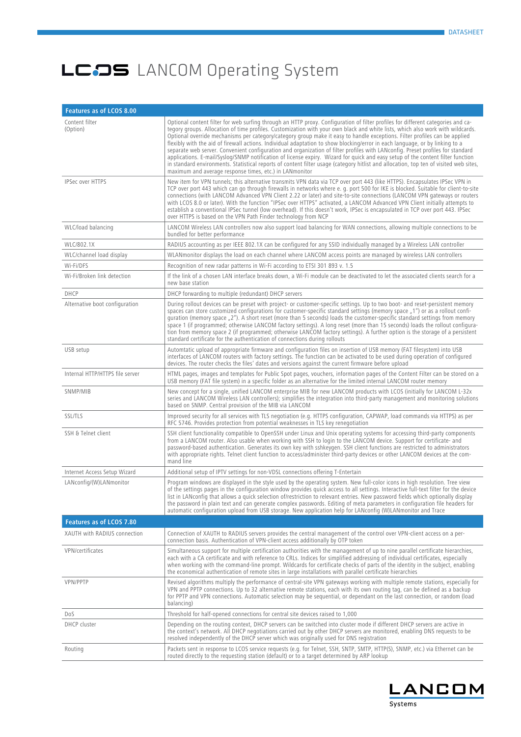| Features as of LCOS 8.00        |                                                                                                                                                                                                                                                                                                                                                                                                                                                                                                                                                                                                                                                                                                                                                                                                                                                                                                                                                                                                           |
|---------------------------------|-----------------------------------------------------------------------------------------------------------------------------------------------------------------------------------------------------------------------------------------------------------------------------------------------------------------------------------------------------------------------------------------------------------------------------------------------------------------------------------------------------------------------------------------------------------------------------------------------------------------------------------------------------------------------------------------------------------------------------------------------------------------------------------------------------------------------------------------------------------------------------------------------------------------------------------------------------------------------------------------------------------|
| Content filter<br>(Option)      | Optional content filter for web surfing through an HTTP proxy. Configuration of filter profiles for different categories and ca-<br>tegory groups. Allocation of time profiles. Customization with your own black and white lists, which also work with wildcards.<br>Optional override mechanisms per category/category group make it easy to handle exceptions. Filter profiles can be applied<br>flexibly with the aid of firewall actions. Individual adaptation to show blocking/error in each language, or by linking to a<br>separate web server. Convenient configuration and organization of filter profiles with LANconfig. Preset profiles for standard<br>applications. E-mail/Syslog/SNMP notification of license expiry. Wizard for quick and easy setup of the content filter function<br>in standard environments. Statistical reports of content filter usage (category hitlist and allocation, top ten of visited web sites,<br>maximum and average response times, etc.) in LANmonitor |
| <b>IPSec over HTTPS</b>         | New item for VPN tunnels; this alternative transmits VPN data via TCP over port 443 (like HTTPS). Encapsulates IPSec VPN in<br>TCP over port 443 which can go through firewalls in networks where e. g. port 500 for IKE is blocked. Suitable for client-to-site<br>connections (with LANCOM Advanced VPN Client 2.22 or later) and site-to-site connections (LANCOM VPN gateways or routers<br>with LCOS 8.0 or later). With the function "IPSec over HTTPS" activated, a LANCOM Advanced VPN Client initially attempts to<br>establish a conventional IPSec tunnel (low overhead). If this doesn't work, IPSec is encapsulated in TCP over port 443. IPSec<br>over HTTPS is based on the VPN Path Finder technology from NCP                                                                                                                                                                                                                                                                            |
| WLC/load balancing              | LANCOM Wireless LAN controllers now also support load balancing for WAN connections, allowing multiple connections to be<br>bundled for better performance                                                                                                                                                                                                                                                                                                                                                                                                                                                                                                                                                                                                                                                                                                                                                                                                                                                |
| WLC/802.1X                      | RADIUS accounting as per IEEE 802.1X can be configured for any SSID individually managed by a Wireless LAN controller                                                                                                                                                                                                                                                                                                                                                                                                                                                                                                                                                                                                                                                                                                                                                                                                                                                                                     |
| WLC/channel load display        | WLANmonitor displays the load on each channel where LANCOM access points are managed by wireless LAN controllers                                                                                                                                                                                                                                                                                                                                                                                                                                                                                                                                                                                                                                                                                                                                                                                                                                                                                          |
| Wi-Fi/DFS                       | Recognition of new radar patterns in Wi-Fi according to ETSI 301 893 v. 1.5                                                                                                                                                                                                                                                                                                                                                                                                                                                                                                                                                                                                                                                                                                                                                                                                                                                                                                                               |
| Wi-Fi/Broken link detection     | If the link of a chosen LAN interface breaks down, a Wi-Fi module can be deactivated to let the associated clients search for a<br>new base station                                                                                                                                                                                                                                                                                                                                                                                                                                                                                                                                                                                                                                                                                                                                                                                                                                                       |
| DHCP                            | DHCP forwarding to multiple (redundant) DHCP servers                                                                                                                                                                                                                                                                                                                                                                                                                                                                                                                                                                                                                                                                                                                                                                                                                                                                                                                                                      |
| Alternative boot configuration  | During rollout devices can be preset with project- or customer-specific settings. Up to two boot- and reset-persistent memory<br>spaces can store customized configurations for customer-specific standard settings (memory space "1") or as a rollout confi-<br>quration (memory space <sub>n</sub> 2"). A short reset (more than 5 seconds) loads the customer-specific standard settings from memory<br>space 1 (if programmed; otherwise LANCOM factory settings). A long reset (more than 15 seconds) loads the rollout configura-<br>tion from memory space 2 (if programmed; otherwise LANCOM factory settings). A further option is the storage of a persistent<br>standard certificate for the authentication of connections during rollouts                                                                                                                                                                                                                                                     |
| USB setup                       | Automtatic upload of appropriate firmware and configuration files on insertion of USB memory (FAT filesystem) into USB<br>interfaces of LANCOM routers with factory settings. The function can be activated to be used during operation of configured<br>devices. The router checks the files' dates and versions against the current firmware before upload                                                                                                                                                                                                                                                                                                                                                                                                                                                                                                                                                                                                                                              |
| Internal HTTP/HTTPS file server | HTML pages, images and templates for Public Spot pages, vouchers, information pages of the Content Filter can be stored on a<br>USB memory (FAT file system) in a specific folder as an alternative for the limited internal LANCOM router memory                                                                                                                                                                                                                                                                                                                                                                                                                                                                                                                                                                                                                                                                                                                                                         |
| SNMP/MIB                        | New concept for a single, unified LANCOM enterprise MIB for new LANCOM products with LCOS (initially for LANCOM L-32x<br>series and LANCOM Wireless LAN controllers); simplifies the integration into third-party management and monitoring solutions<br>based on SNMP. Central provision of the MIB via LANCOM                                                                                                                                                                                                                                                                                                                                                                                                                                                                                                                                                                                                                                                                                           |
| <b>SSL/TLS</b>                  | Improved security for all services with TLS negotiation (e.g. HTTPS configuration, CAPWAP, load commands via HTTPS) as per<br>RFC 5746. Provides protection from potential weaknesses in TLS key renegotiation                                                                                                                                                                                                                                                                                                                                                                                                                                                                                                                                                                                                                                                                                                                                                                                            |
| SSH & Telnet client             | SSH client functionality compatible to OpenSSH under Linux and Unix operating systems for accessing third-party components<br>from a LANCOM router. Also usable when working with SSH to login to the LANCOM device. Support for certificate- and<br>password-based authentication. Generates its own key with sshkeygen. SSH client functions are restricted to administrators<br>with appropriate rights. Telnet client function to access/administer third-party devices or other LANCOM devices at the com-<br>mand line                                                                                                                                                                                                                                                                                                                                                                                                                                                                              |
| Internet Access Setup Wizard    | Additional setup of IPTV settings for non-VDSL connections offering T-Entertain                                                                                                                                                                                                                                                                                                                                                                                                                                                                                                                                                                                                                                                                                                                                                                                                                                                                                                                           |
| LANconfig/(W)LANmonitor         | Program windows are displayed in the style used by the operating system. New full-color icons in high resolution. Tree view<br>of the settings pages in the configuration window provides guick access to all settings. Interactive full-text filter for the device<br>list in LANconfig that allows a quick selection of/restriction to relevant entries. New password fields which optionally display<br>the password in plain text and can generate complex passwords. Editing of meta parameters in configuration file headers for<br>automatic configuration upload from USB storage. New application help for LANconfig (W)LANmonitor and Trace                                                                                                                                                                                                                                                                                                                                                     |
| Features as of LCOS 7.80        |                                                                                                                                                                                                                                                                                                                                                                                                                                                                                                                                                                                                                                                                                                                                                                                                                                                                                                                                                                                                           |
| XAUTH with RADIUS connection    | Connection of XAUTH to RADIUS servers provides the central management of the control over VPN-client access on a per-<br>connection basis. Authentication of VPN-client access additionally by OTP token                                                                                                                                                                                                                                                                                                                                                                                                                                                                                                                                                                                                                                                                                                                                                                                                  |
| VPN/certificates                | Simultaneous support for multiple certification authorities with the management of up to nine parallel certificate hierarchies,<br>each with a CA certificate and with reference to CRLs. Indices for simplified addressing of individual certificates, especially<br>when working with the command-line prompt. Wildcards for certificate checks of parts of the identity in the subject, enabling<br>the economical authentication of remote sites in large installations with parallel certificate hierarchies                                                                                                                                                                                                                                                                                                                                                                                                                                                                                         |
| VPN/PPTP                        | Revised algorithms multiply the performance of central-site VPN gateways working with multiple remote stations, especially for<br>VPN and PPTP connections. Up to 32 alternative remote stations, each with its own routing tag, can be defined as a backup<br>for PPTP and VPN connections. Automatic selection may be sequential, or dependant on the last connection, or random (load<br>balancing)                                                                                                                                                                                                                                                                                                                                                                                                                                                                                                                                                                                                    |
| Dos                             | Threshold for half-opened connections for central site devices raised to 1,000                                                                                                                                                                                                                                                                                                                                                                                                                                                                                                                                                                                                                                                                                                                                                                                                                                                                                                                            |
| DHCP cluster                    | Depending on the routing context, DHCP servers can be switched into cluster mode if different DHCP servers are active in<br>the context's network. All DHCP negotiations carried out by other DHCP servers are monitored, enabling DNS requests to be<br>resolved independently of the DHCP server which was originally used for DNS registration                                                                                                                                                                                                                                                                                                                                                                                                                                                                                                                                                                                                                                                         |
| Routing                         | Packets sent in response to LCOS service requests (e.g. for Telnet, SSH, SNTP, SMTP, HTTP(S), SNMP, etc.) via Ethernet can be<br>routed directly to the requesting station (default) or to a target determined by ARP lookup                                                                                                                                                                                                                                                                                                                                                                                                                                                                                                                                                                                                                                                                                                                                                                              |

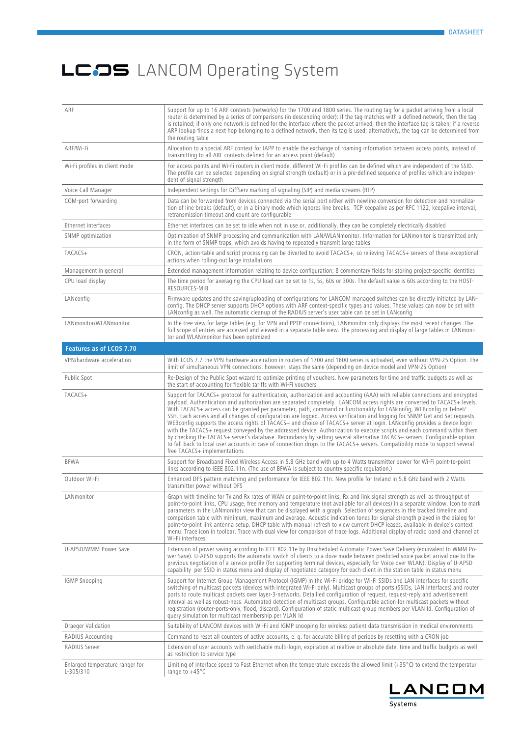| ARF                                          | Support for up to 16 ARF contexts (networks) for the 1700 and 1800 series. The routing tag for a packet arriving from a local<br>router is determined by a series of comparisons (in descending order): If the tag matches with a defined network, then the tag<br>is retained; if only one network is defined for the interface where the packet arrived, then the interface tag is taken; if a reverse<br>ARP lookup finds a next hop belonging to a defined network, then its tag is used; alternatively, the tag can be determined from<br>the routing table                                                                                                                                                                                                                                                                                                                                                                                                                                                                                                       |
|----------------------------------------------|------------------------------------------------------------------------------------------------------------------------------------------------------------------------------------------------------------------------------------------------------------------------------------------------------------------------------------------------------------------------------------------------------------------------------------------------------------------------------------------------------------------------------------------------------------------------------------------------------------------------------------------------------------------------------------------------------------------------------------------------------------------------------------------------------------------------------------------------------------------------------------------------------------------------------------------------------------------------------------------------------------------------------------------------------------------------|
| ARF/Wi-Fi                                    | Allocation to a special ARF context for IAPP to enable the exchange of roaming information between access points, instead of<br>transmitting to all ARF contexts defined for an access point (default)                                                                                                                                                                                                                                                                                                                                                                                                                                                                                                                                                                                                                                                                                                                                                                                                                                                                 |
| Wi-Fi profiles in client mode                | For access points and Wi-Fi routers in client mode, different Wi-Fi profiles can be defined which are independent of the SSID.<br>The profile can be selected depending on signal strength (default) or in a pre-defined sequence of profiles which are indepen-<br>dent of signal strength                                                                                                                                                                                                                                                                                                                                                                                                                                                                                                                                                                                                                                                                                                                                                                            |
| Voice Call Manager                           | Independent settings for DiffServ marking of signaling (SIP) and media streams (RTP)                                                                                                                                                                                                                                                                                                                                                                                                                                                                                                                                                                                                                                                                                                                                                                                                                                                                                                                                                                                   |
| COM-port forwarding                          | Data can be forwarded from devices connected via the serial port either with newline conversion for detection and normaliza-<br>tion of line breaks (default), or in a binary mode which ignores line breaks. TCP keepalive as per RFC 1122, keepalive interval,<br>retransmission timeout and count are configurable                                                                                                                                                                                                                                                                                                                                                                                                                                                                                                                                                                                                                                                                                                                                                  |
| Ethernet interfaces                          | Ethernet interfaces can be set to idle when not in use or, additionally, they can be completely electrically disabled                                                                                                                                                                                                                                                                                                                                                                                                                                                                                                                                                                                                                                                                                                                                                                                                                                                                                                                                                  |
| SNMP optimization                            | Optimization of SNMP processing and communication with LAN/WLANmonitor. Information for LANmonitor is transmitted only<br>in the form of SNMP traps, which avoids having to repeatedly transmit large tables                                                                                                                                                                                                                                                                                                                                                                                                                                                                                                                                                                                                                                                                                                                                                                                                                                                           |
| TACACS+                                      | CRON, action-table and script processing can be diverted to avoid TACACS+, so relieving TACACS+ servers of these exceptional<br>actions when rolling-out large installations                                                                                                                                                                                                                                                                                                                                                                                                                                                                                                                                                                                                                                                                                                                                                                                                                                                                                           |
| Management in general                        | Extended management information relating to device configuration; 8 commentary fields for storing project-specific identities                                                                                                                                                                                                                                                                                                                                                                                                                                                                                                                                                                                                                                                                                                                                                                                                                                                                                                                                          |
| CPU load display                             | The time period for averaging the CPU load can be set to 1s, 5s, 60s or 300s. The default value is 60s according to the HOST-<br>RESOURCES-MIB                                                                                                                                                                                                                                                                                                                                                                                                                                                                                                                                                                                                                                                                                                                                                                                                                                                                                                                         |
| LANconfig                                    | Firmware updates and the saving/uploading of configurations for LANCOM managed switches can be directly initiated by LAN-<br>config. The DHCP server supports DHCP options with ARF context-specific types and values. These values can now be set with<br>LANconfig as well. The automatic cleanup of the RADIUS server's user table can be set in LANconfig                                                                                                                                                                                                                                                                                                                                                                                                                                                                                                                                                                                                                                                                                                          |
| LANmonitor/WLANmonitor                       | In the tree view for large tables (e.g. for VPN and PPTP connections), LANmonitor only displays the most recent changes. The<br>full scope of entries are accessed and viewed in a separate table view. The processing and display of large tables in LANmoni-<br>tor and WLANmonitor has been optimized                                                                                                                                                                                                                                                                                                                                                                                                                                                                                                                                                                                                                                                                                                                                                               |
| Features as of LCOS 7.70                     |                                                                                                                                                                                                                                                                                                                                                                                                                                                                                                                                                                                                                                                                                                                                                                                                                                                                                                                                                                                                                                                                        |
| VPN/hardware acceleration                    | With LCOS 7.7 the VPN hardware accelration in routers of 1700 and 1800 series is activated, even without VPN-25 Option. The<br>limit of simultaneous VPN connections, however, stays the same (depending on device model and VPN-25 Option)                                                                                                                                                                                                                                                                                                                                                                                                                                                                                                                                                                                                                                                                                                                                                                                                                            |
| Public Spot                                  | Re-Design of the Public Spot wizard to optimize printing of vouchers. New parameters for time and traffic budgets as well as<br>the start of accounting for flexible tariffs with Wi-Fi vouchers                                                                                                                                                                                                                                                                                                                                                                                                                                                                                                                                                                                                                                                                                                                                                                                                                                                                       |
| TACACS+                                      | Support for TACACS+ protocol for authentication, authorization and accounting (AAA) with reliable connections and encrypted<br>payload. Authentication and authorization are separated completely. LANCOM access rights are converted to TACACS+ levels.<br>With TACACS+ access can be granted per parameter, path, command or functionality for LANconfig, WEBconfig or Telnet/<br>SSH. Each access and all changes of configuration are logged. Access verification and logging for SNMP Get and Set requests.<br>WEBconfig supports the access rights of TACACS+ and choice of TACACS+ server at login. LANconfig provides a device login<br>with the TACACS+ request conveyed by the addressed device. Authorization to execute scripts and each command within them<br>by checking the TACACS+ server's database. Redundancy by setting several alternative TACACS+ servers. Configurable option<br>to fall back to local user accounts in case of connection drops to the TACACS+ servers. Compatibility mode to support several<br>free TACACS+ implementations |
| <b>BFWA</b>                                  | Support for Broadband Fixed Wireless Access in 5.8 GHz band with up to 4 Watts transmitter power for Wi-Fi point-to-point<br>links according to IEEE 802.11n. (The use of BFWA is subject to country specific regulation.)                                                                                                                                                                                                                                                                                                                                                                                                                                                                                                                                                                                                                                                                                                                                                                                                                                             |
| Outdoor Wi-Fi                                | Enhanced DFS pattern matching and performance for IEEE 802.11n. New profile for Ireland in 5.8 GHz band with 2 Watts<br>transmitter power without DFS                                                                                                                                                                                                                                                                                                                                                                                                                                                                                                                                                                                                                                                                                                                                                                                                                                                                                                                  |
| LANmonitor                                   | Graph with timeline for Tx and Rx rates of WAN or point-to-point links, Rx and link signal strength as well as throughput of<br>point-to-point links, CPU usage, free memory and temperature (not available for all devices) in a separate window. Icon to mark<br>parameters in the LANmonitor view that can be displayed with a graph. Selection of sequences in the tracked timeline and<br>comparison table with minimum, maximum and average. Acoustic indication tones for signal strength played in the dialog for<br>point-to-point link antenna setup. DHCP table with manual refresh to view current DHCP leases, available in device's context<br>menu. Trace icon in toolbar. Trace with dual view for comparison of trace logs. Additional display of radio band and channel at<br>Wi-Fi interfaces                                                                                                                                                                                                                                                       |
| U-APSD/WMM Power Save                        | Extension of power saving according to IEEE 802.11e by Unscheduled Automatic Power Save Delivery (equivalent to WMM Po-<br>wer Save). U-APSD supports the automatic switch of clients to a doze mode between predicted voice packet arrival due to the<br>previous negotiation of a service profile (for supporting terminal devices, especially for Voice over WLAN). Display of U-APSD<br>capability per SSID in status menu and display of negotiated category for each client in the station table in status menu                                                                                                                                                                                                                                                                                                                                                                                                                                                                                                                                                  |
| <b>IGMP Snooping</b>                         | Support for Internet Group Management Protocol (IGMP) in the Wi-Fi bridge for Wi-Fi SSIDs and LAN interfaces for specific<br>switching of multicast packets (devices with integrated Wi-Fi only). Multicast groups of ports (SSIDs, LAN interfaces) and router<br>ports to route multicast packets over layer-3-networks. Detailled configuration of request, request-reply and advertisement<br>interval as well as robust-ness. Automated detection of multicast groups. Configurable action for multicast packets without<br>registration (router-ports-only, flood, discard). Configuration of static multicast group members per VLAN Id. Configuration of<br>query simulation for multicast membership per VLAN Id                                                                                                                                                                                                                                                                                                                                               |
| Draeger Validation                           | Suitability of LANCOM devices with Wi-Fi and IGMP snooping for wireless patient data transmission in medical environments                                                                                                                                                                                                                                                                                                                                                                                                                                                                                                                                                                                                                                                                                                                                                                                                                                                                                                                                              |
| <b>RADIUS Accounting</b>                     | Command to reset all counters of active accounts, e. q. for accurate billing of periods by resetting with a CRON job                                                                                                                                                                                                                                                                                                                                                                                                                                                                                                                                                                                                                                                                                                                                                                                                                                                                                                                                                   |
| RADIUS Server                                | Extension of user accounts with switchable multi-login, expiration at realtive or absolute date, time and traffic budgets as well<br>as restriction to service type                                                                                                                                                                                                                                                                                                                                                                                                                                                                                                                                                                                                                                                                                                                                                                                                                                                                                                    |
| Enlarged temperature ranger for<br>L-305/310 | Limiting of interface speed to Fast Ethernet when the temperature exceeds the allowed limit (+35°C) to extend the temperatur<br>range to $+45^{\circ}$ C                                                                                                                                                                                                                                                                                                                                                                                                                                                                                                                                                                                                                                                                                                                                                                                                                                                                                                               |

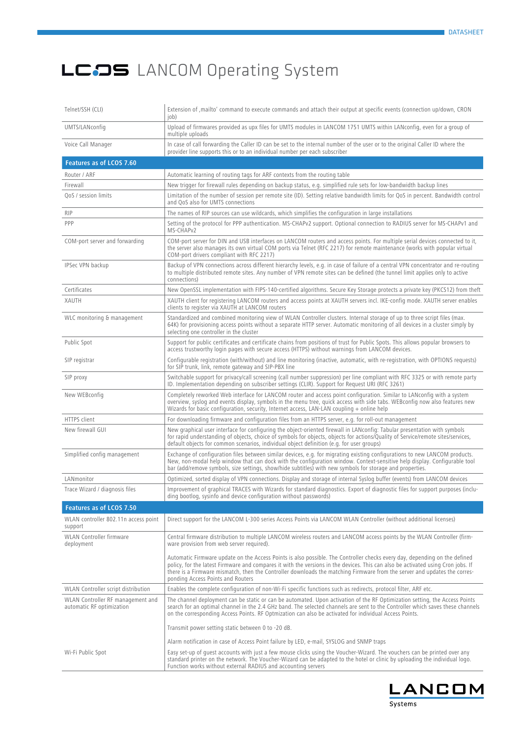| Telnet/SSH (CLI)                                               | Extension of , mailto' command to execute commands and attach their output at specific events (connection up/down, CRON<br>job)                                                                                                                                                                                                                                                                                                  |
|----------------------------------------------------------------|----------------------------------------------------------------------------------------------------------------------------------------------------------------------------------------------------------------------------------------------------------------------------------------------------------------------------------------------------------------------------------------------------------------------------------|
| UMTS/LANconfig                                                 | Upload of firmwares provided as upx files for UMTS modules in LANCOM 1751 UMTS within LANconfig, even for a group of<br>multiple uploads                                                                                                                                                                                                                                                                                         |
| Voice Call Manager                                             | In case of call forwarding the Caller ID can be set to the internal number of the user or to the original Caller ID where the<br>provider line supports this or to an individual number per each subscriber                                                                                                                                                                                                                      |
| Features as of LCOS 7.60                                       |                                                                                                                                                                                                                                                                                                                                                                                                                                  |
| Router / ARF                                                   | Automatic learning of routing tags for ARF contexts from the routing table                                                                                                                                                                                                                                                                                                                                                       |
| Firewall                                                       | New trigger for firewall rules depending on backup status, e.g. simplified rule sets for low-bandwidth backup lines                                                                                                                                                                                                                                                                                                              |
| QoS / session limits                                           | Limitation of the number of session per remote site (ID). Setting relative bandwidth limits for QoS in percent. Bandwidth control<br>and QoS also for UMTS connections                                                                                                                                                                                                                                                           |
| <b>RIP</b>                                                     | The names of RIP sources can use wildcards, which simplifies the configuration in large installations                                                                                                                                                                                                                                                                                                                            |
| PPP                                                            | Setting of the protocol for PPP authentication. MS-CHAPv2 support. Optional connection to RADIUS server for MS-CHAPv1 and<br>MS-CHAPv2                                                                                                                                                                                                                                                                                           |
| COM-port server and forwarding                                 | COM-port server for DIN and USB interfaces on LANCOM routers and access points. For multiple serial devices connected to it,<br>the server also manages its own virtual COM ports via Telnet (RFC 2217) for remote maintenance (works with popular virtual<br>COM-port drivers compliant with RFC 2217)                                                                                                                          |
| IPSec VPN backup                                               | Backup of VPN connections across different hierarchy levels, e.g. in case of failure of a central VPN concentrator and re-routing<br>to multiple distributed remote sites. Any number of VPN remote sites can be defined (the tunnel limit applies only to active<br>connections)                                                                                                                                                |
| Certificates                                                   | New OpenSSL implementation with FIPS-140-certified algorithms. Secure Key Storage protects a private key (PKCS12) from theft                                                                                                                                                                                                                                                                                                     |
| XAUTH                                                          | XAUTH client for registering LANCOM routers and access points at XAUTH servers incl. IKE-config mode. XAUTH server enables<br>clients to register via XAUTH at LANCOM routers                                                                                                                                                                                                                                                    |
| WLC monitoring & management                                    | Standardized and combined monitoring view of WLAN Controller clusters. Internal storage of up to three script files (max.<br>64K) for provisioning access points without a separate HTTP server. Automatic monitoring of all devices in a cluster simply by<br>selecting one controller in the cluster                                                                                                                           |
| Public Spot                                                    | Support for public certificates and certificate chains from positions of trust for Public Spots. This allows popular browsers to<br>access trustworthy login pages with secure access (HTTPS) without warnings from LANCOM devices.                                                                                                                                                                                              |
| SIP registrar                                                  | Configurable registration (with/without) and line monitoring (inactive, automatic, with re-registration, with OPTIONS requests)<br>for SIP trunk, link, remote gateway and SIP-PBX line                                                                                                                                                                                                                                          |
| SIP proxy                                                      | Switchable support for privacy/call screening (call number suppression) per line compliant with RFC 3325 or with remote party<br>ID. Implementation depending on subscriber settings (CLIR). Support for Request URI (RFC 3261)                                                                                                                                                                                                  |
| New WEBconfig                                                  | Completely reworked Web interface for LANCOM router and access point configuration. Similar to LANconfig with a system<br>overview, syslog and events display, symbols in the menu tree, quick access with side tabs. WEBconfig now also features new<br>Wizards for basic configuration, security, Internet access, LAN-LAN coupling + online help                                                                              |
| HTTPS client                                                   | For downloading firmware and configuration files from an HTTPS server, e.g. for roll-out management                                                                                                                                                                                                                                                                                                                              |
| New firewall GUI                                               | New graphical user interface for configuring the object-oriented firewall in LANconfig: Tabular presentation with symbols<br>for rapid understanding of objects, choice of symbols for objects, objects for actions/Quality of Service/remote sites/services,<br>default objects for common scenarios, individual object definition (e.g. for user groups)                                                                       |
| Simplified config management                                   | Exchange of configuration files between similar devices, e.g. for migrating existing configurations to new LANCOM products.<br>New, non-modal help window that can dock with the configuration window. Context-sensitive help display. Configurable tool<br>bar (add/remove symbols, size settings, show/hide subtitles) with new symbols for storage and properties.                                                            |
| LANmonitor                                                     | Optimized, sorted display of VPN connections. Display and storage of internal Syslog buffer (events) from LANCOM devices                                                                                                                                                                                                                                                                                                         |
| Trace Wizard / diagnosis files                                 | Improvement of graphical TRACES with Wizards for standard diagnostics. Export of diagnostic files for support purposes (inclu-<br>ding bootlog, sysinfo and device configuration without passwords)                                                                                                                                                                                                                              |
| Features as of LCOS 7.50                                       |                                                                                                                                                                                                                                                                                                                                                                                                                                  |
| WLAN controller 802.11n access point<br>support                | Direct support for the LANCOM L-300 series Access Points via LANCOM WLAN Controller (without additional licenses)                                                                                                                                                                                                                                                                                                                |
| WLAN Controller firmware<br>deployment                         | Central firmware distribution to multiple LANCOM wireless routers and LANCOM access points by the WLAN Controller (firm-<br>ware provision from web server required).                                                                                                                                                                                                                                                            |
|                                                                | Automatic Firmware update on the Access Points is also possible. The Controller checks every day, depending on the defined<br>policy, for the latest Firmware and compares it with the versions in the devices. This can also be activated using Cron jobs. If<br>there is a Firmware mismatch, then the Controller downloads the matching Firmware from the server and updates the corres-<br>ponding Access Points and Routers |
| WLAN Controller script distribution                            | Enables the complete configuration of non-Wi-Fi specific functions such as redirects, protocol filter, ARF etc.                                                                                                                                                                                                                                                                                                                  |
| WLAN Controller RF management and<br>automatic RF optimization | The channel deployment can be static or can be automated. Upon activation of the RF Optimization setting, the Access Points<br>search for an optimal channel in the 2.4 GHz band. The selected channels are sent to the Controller which saves these channels<br>on the corresponding Access Points. RF Optmization can also be activated for individual Access Points.                                                          |
|                                                                | Transmit power setting static between 0 to -20 dB.                                                                                                                                                                                                                                                                                                                                                                               |
|                                                                | Alarm notification in case of Access Point failure by LED, e-mail, SYSLOG and SNMP traps                                                                                                                                                                                                                                                                                                                                         |
| Wi-Fi Public Spot                                              | Easy set-up of quest accounts with just a few mouse clicks using the Voucher-Wizard. The vouchers can be printed over any<br>standard printer on the network. The Voucher-Wizard can be adapted to the hotel or clinic by uploading the individual logo.<br>Function works without external RADIUS and accounting servers                                                                                                        |

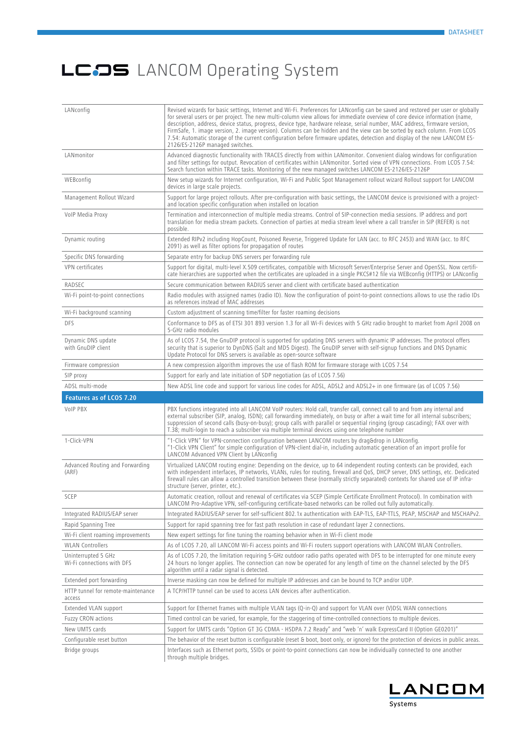| LANconfig                                         | Revised wizards for basic settings, Internet and Wi-Fi. Preferences for LANconfig can be saved and restored per user or globally<br>for several users or per project. The new multi-column view allows for immediate overview of core device information (name,<br>description, address, device status, progress, device type, hardware release, serial number, MAC address, firmware version,<br>FirmSafe, 1. image version, 2. image version). Columns can be hidden and the view can be sorted by each column. From LCOS<br>7.54: Automatic storage of the current configuration before firmware updates, detection and display of the new LANCOM ES-<br>2126/ES-2126P managed switches. |
|---------------------------------------------------|---------------------------------------------------------------------------------------------------------------------------------------------------------------------------------------------------------------------------------------------------------------------------------------------------------------------------------------------------------------------------------------------------------------------------------------------------------------------------------------------------------------------------------------------------------------------------------------------------------------------------------------------------------------------------------------------|
| LANmonitor                                        | Advanced diagnostic functionality with TRACES directly from within LANmonitor. Convenient dialog windows for configuration<br>and filter settings for output. Revocation of certificates within LANmonitor. Sorted view of VPN connections. From LCOS 7.54:<br>Search function within TRACE tasks. Monitoring of the new managed switches LANCOM ES-2126/ES-2126P                                                                                                                                                                                                                                                                                                                           |
| WEBconfig                                         | New setup wizards for Internet configuration, Wi-Fi and Public Spot Management rollout wizard Rollout support for LANCOM<br>devices in large scale projects.                                                                                                                                                                                                                                                                                                                                                                                                                                                                                                                                |
| Management Rollout Wizard                         | Support for large project rollouts. After pre-configuration with basic settings, the LANCOM device is provisioned with a project-<br>and location specific configuration when installed on location                                                                                                                                                                                                                                                                                                                                                                                                                                                                                         |
| VoIP Media Proxy                                  | Termination and interconnection of multiple media streams. Control of SIP-connection media sessions. IP address and port<br>translation for media stream packets. Connection of parties at media stream level where a call transfer in SIP (REFER) is not<br>possible.                                                                                                                                                                                                                                                                                                                                                                                                                      |
| Dynamic routing                                   | Extended RIPv2 including HopCount, Poisoned Reverse, Triggered Update for LAN (acc. to RFC 2453) and WAN (acc. to RFC<br>2091) as well as filter options for propagation of routes                                                                                                                                                                                                                                                                                                                                                                                                                                                                                                          |
| Specific DNS forwarding                           | Separate entry for backup DNS servers per forwarding rule                                                                                                                                                                                                                                                                                                                                                                                                                                                                                                                                                                                                                                   |
| VPN certificates                                  | Support for digital, multi-level X.509 certificates, compatible with Microsoft Server/Enterprise Server and OpenSSL. Now certifi-<br>cate hierarchies are supported when the certificates are uploaded in a single PKCS#12 file via WEBconfiq (HTTPS) or LANconfig                                                                                                                                                                                                                                                                                                                                                                                                                          |
| RADSEC                                            | Secure communication between RADIUS server and client with certificate based authentication                                                                                                                                                                                                                                                                                                                                                                                                                                                                                                                                                                                                 |
| Wi-Fi point-to-point connections                  | Radio modules with assigned names (radio ID). Now the configuration of point-to-point connections allows to use the radio IDs<br>as references instead of MAC addresses                                                                                                                                                                                                                                                                                                                                                                                                                                                                                                                     |
| Wi-Fi background scanning                         | Custom adjustment of scanning time/filter for faster roaming decisions                                                                                                                                                                                                                                                                                                                                                                                                                                                                                                                                                                                                                      |
| DFS                                               | Conformance to DFS as of ETSI 301 893 version 1.3 for all Wi-Fi devices with 5 GHz radio brought to market from April 2008 on<br>5-GHz radio modules                                                                                                                                                                                                                                                                                                                                                                                                                                                                                                                                        |
| Dynamic DNS update<br>with GnuDIP client          | As of LCOS 7.54, the GnuDIP protocol is supported for updating DNS servers with dynamic IP addresses. The protocol offers<br>security that is superior to DynDNS (Salt and MD5 Digest). The GnuDIP server with self-signup functions and DNS Dynamic<br>Update Protocol for DNS servers is available as open-source software                                                                                                                                                                                                                                                                                                                                                                |
| Firmware compression                              | A new compression algorithm improves the use of flash ROM for firmware storage with LCOS 7.54                                                                                                                                                                                                                                                                                                                                                                                                                                                                                                                                                                                               |
| SIP proxy                                         | Support for early and late initiation of SDP negotiation (as of LCOS 7.56)                                                                                                                                                                                                                                                                                                                                                                                                                                                                                                                                                                                                                  |
| ADSL multi-mode                                   | New ADSL line code and support for various line codes for ADSL, ADSL2 and ADSL2+ in one firmware (as of LCOS 7.56)                                                                                                                                                                                                                                                                                                                                                                                                                                                                                                                                                                          |
| Features as of LCOS 7.20                          |                                                                                                                                                                                                                                                                                                                                                                                                                                                                                                                                                                                                                                                                                             |
| <b>VoIP PBX</b>                                   | PBX functions integrated into all LANCOM VoIP routers: Hold call, transfer call, connect call to and from any internal and<br>external subscriber (SIP, analog, ISDN); call forwarding immediately, on busy or after a wait time for all internal subscribers;<br>suppression of second calls (busy-on-busy); group calls with parallel or sequential ringing (group cascading); FAX over with<br>T.38; multi-login to reach a subscriber via multiple terminal devices using one telephone number                                                                                                                                                                                          |
| 1-Click-VPN                                       | "1-Click VPN" for VPN-connection configuration between LANCOM routers by drag&drop in LANconfig.<br>"1-Click VPN Client" for simple configuration of VPN-client dial-in, including automatic generation of an import profile for<br>LANCOM Advanced VPN Client by LANconfig                                                                                                                                                                                                                                                                                                                                                                                                                 |
| Advanced Routing and Forwarding<br>(ARF)          | Virtualized LANCOM routing engine: Depending on the device, up to 64 independent routing contexts can be provided, each<br>with independent interfaces, IP networks, VLANs, rules for routing, firewall and QoS, DHCP server, DNS settings, etc. Dedicated<br>firewall rules can allow a controlled transition between these (normally strictly separated) contexts for shared use of IP infra-<br>structure (server, printer, etc.).                                                                                                                                                                                                                                                       |
| SCEP                                              | Automatic creation, rollout and renewal of certificates via SCEP (Simple Certificate Enrollment Protocol). In combination with<br>LANCOM Pro-Adaptive VPN, self-configuring certificate-based networks can be rolled out fully automatically.                                                                                                                                                                                                                                                                                                                                                                                                                                               |
| Integrated RADIUS/EAP server                      | Integrated RADIUS/EAP server for self-sufficient 802.1x authentication with EAP-TLS, EAP-TTLS, PEAP, MSCHAP and MSCHAPv2.                                                                                                                                                                                                                                                                                                                                                                                                                                                                                                                                                                   |
| Rapid Spanning Tree                               | Support for rapid spanning tree for fast path resolution in case of redundant layer 2 connections.                                                                                                                                                                                                                                                                                                                                                                                                                                                                                                                                                                                          |
| Wi-Fi client roaming improvements                 | New expert settings for fine tuning the roaming behavior when in Wi-Fi client mode                                                                                                                                                                                                                                                                                                                                                                                                                                                                                                                                                                                                          |
| <b>WLAN Controllers</b>                           | As of LCOS 7.20, all LANCOM Wi-Fi access points and Wi-Fi routers support operations with LANCOM WLAN Controllers.                                                                                                                                                                                                                                                                                                                                                                                                                                                                                                                                                                          |
| Uninterrupted 5 GHz<br>Wi-Fi connections with DFS | As of LCOS 7.20, the limitation requiring 5-GHz outdoor radio paths operated with DFS to be interrupted for one minute every<br>24 hours no longer applies. The connection can now be operated for any length of time on the channel selected by the DFS<br>algorithm until a radar signal is detected.                                                                                                                                                                                                                                                                                                                                                                                     |
| Extended port forwarding                          | Inverse masking can now be defined for multiple IP addresses and can be bound to TCP and/or UDP.                                                                                                                                                                                                                                                                                                                                                                                                                                                                                                                                                                                            |
| HTTP tunnel for remote-maintenance<br>access      | A TCP/HTTP tunnel can be used to access LAN devices after authentication.                                                                                                                                                                                                                                                                                                                                                                                                                                                                                                                                                                                                                   |
| Extended VLAN support                             | Support for Ethernet frames with multiple VLAN tags (Q-in-Q) and support for VLAN over (V)DSL WAN connections                                                                                                                                                                                                                                                                                                                                                                                                                                                                                                                                                                               |
| Fuzzy CRON actions                                | Timed control can be varied, for example, for the staggering of time-controlled connections to multiple devices.                                                                                                                                                                                                                                                                                                                                                                                                                                                                                                                                                                            |
| New UMTS cards                                    | Support for UMTS cards "Option GT 3G CDMA - HSDPA 7.2 Ready" and "web 'n' walk ExpressCard II (Option GE0201)"                                                                                                                                                                                                                                                                                                                                                                                                                                                                                                                                                                              |
| Configurable reset button                         | The behavior of the reset button is configurable (reset & boot, boot only, or ignore) for the protection of devices in public areas.                                                                                                                                                                                                                                                                                                                                                                                                                                                                                                                                                        |
| Bridge groups                                     | Interfaces such as Ethernet ports, SSIDs or point-to-point connections can now be individually connected to one another                                                                                                                                                                                                                                                                                                                                                                                                                                                                                                                                                                     |

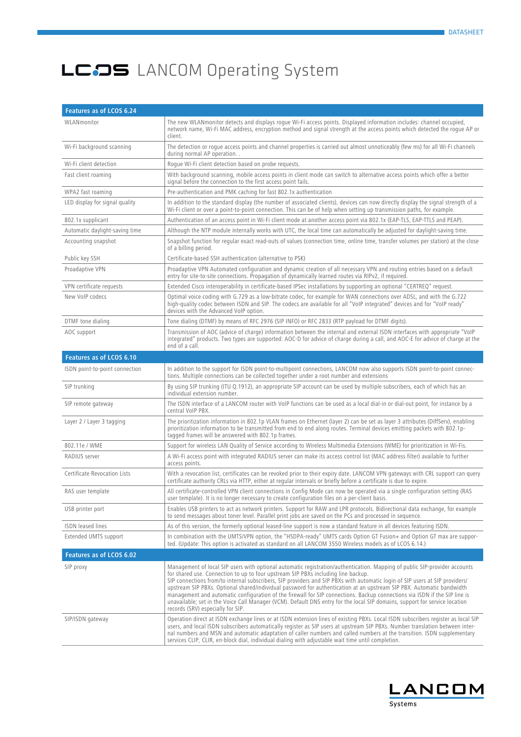| Features as of LCOS 6.24       |                                                                                                                                                                                                                                                                                                                                                                                                                                                                                                                                                                                                                                                                                                                                                                            |
|--------------------------------|----------------------------------------------------------------------------------------------------------------------------------------------------------------------------------------------------------------------------------------------------------------------------------------------------------------------------------------------------------------------------------------------------------------------------------------------------------------------------------------------------------------------------------------------------------------------------------------------------------------------------------------------------------------------------------------------------------------------------------------------------------------------------|
| WLANmonitor                    | The new WLANmonitor detects and displays roque Wi-Fi access points. Displayed information includes: channel occupied,<br>network name, Wi-Fi MAC address, encryption method and signal strength at the access points which detected the roque AP or<br>client.                                                                                                                                                                                                                                                                                                                                                                                                                                                                                                             |
| Wi-Fi background scanning      | The detection or roque access points and channel properties is carried out almost unnoticeably (few ms) for all Wi-Fi channels<br>during normal AP operation                                                                                                                                                                                                                                                                                                                                                                                                                                                                                                                                                                                                               |
| Wi-Fi client detection         | Roque Wi-Fi client detection based on probe requests.                                                                                                                                                                                                                                                                                                                                                                                                                                                                                                                                                                                                                                                                                                                      |
| Fast client roaming            | With background scanning, mobile access points in client mode can switch to alternative access points which offer a better<br>signal before the connection to the first access point fails.                                                                                                                                                                                                                                                                                                                                                                                                                                                                                                                                                                                |
| WPA2 fast roaming              | Pre-authentication and PMK caching for fast 802.1x authentication                                                                                                                                                                                                                                                                                                                                                                                                                                                                                                                                                                                                                                                                                                          |
| LED display for signal quality | In addition to the standard display (the number of associated clients), devices can now directly display the signal strength of a<br>Wi-Fi client or over a point-to-point connection. This can be of help when setting up transmission paths, for example.                                                                                                                                                                                                                                                                                                                                                                                                                                                                                                                |
| 802.1x supplicant              | Authentication of an access point in Wi-Fi client mode at another access point via 802.1x (EAP-TLS, EAP-TTLS and PEAP).                                                                                                                                                                                                                                                                                                                                                                                                                                                                                                                                                                                                                                                    |
| Automatic daylight-saving time | Although the NTP module internally works with UTC, the local time can automatically be adjusted for daylight-saving time.                                                                                                                                                                                                                                                                                                                                                                                                                                                                                                                                                                                                                                                  |
| Accounting snapshot            | Snapshot function for regular exact read-outs of values (connection time, online time, transfer volumes per station) at the close<br>of a billing period.                                                                                                                                                                                                                                                                                                                                                                                                                                                                                                                                                                                                                  |
| Public key SSH                 | Certificate-based SSH authentication (alternative to PSK)                                                                                                                                                                                                                                                                                                                                                                                                                                                                                                                                                                                                                                                                                                                  |
| Proadaptive VPN                | Proadaptive VPN Automated configuration and dynamic creation of all necessary VPN and routing entries based on a default<br>entry for site-to-site connections. Propagation of dynamically learned routes via RIPv2, if required.                                                                                                                                                                                                                                                                                                                                                                                                                                                                                                                                          |
| VPN certificate requests       | Extended Cisco interoperability in certificate-based IPSec installations by supporting an optional "CERTREQ" request.                                                                                                                                                                                                                                                                                                                                                                                                                                                                                                                                                                                                                                                      |
| New VoIP codecs                | Optimal voice coding with G.729 as a low-bitrate codec, for example for WAN connections over ADSL, and with the G.722<br>high-quality codec between ISDN and SIP. The codecs are available for all "VoIP integrated" devices and for "VoIP ready"<br>devices with the Advanced VoIP option.                                                                                                                                                                                                                                                                                                                                                                                                                                                                                |
| DTMF tone dialing              | Tone dialing (DTMF) by means of RFC 2976 (SIP INFO) or RFC 2833 (RTP payload for DTMF digits).                                                                                                                                                                                                                                                                                                                                                                                                                                                                                                                                                                                                                                                                             |
| AOC support                    | Transmission of AOC (advice of charge) information between the internal and external ISDN interfaces with appropriate "VoIP<br>integrated" products. Two types are supported: AOC-D for advice of charge during a call, and AOC-E for advice of charge at the<br>end of a call.                                                                                                                                                                                                                                                                                                                                                                                                                                                                                            |
| Features as of LCOS 6.10       |                                                                                                                                                                                                                                                                                                                                                                                                                                                                                                                                                                                                                                                                                                                                                                            |
| ISDN point-to-point connection | In addition to the support for ISDN point-to-multipoint connections, LANCOM now also supports ISDN point-to-point connec-<br>tions. Multiple connections can be collected together under a root number and extensions                                                                                                                                                                                                                                                                                                                                                                                                                                                                                                                                                      |
| SIP trunking                   | By using SIP trunking (ITU Q.1912), an appropriate SIP account can be used by multiple subscribers, each of which has an<br>individual extension number.                                                                                                                                                                                                                                                                                                                                                                                                                                                                                                                                                                                                                   |
| SIP remote gateway             | The ISDN interface of a LANCOM router with VoIP functions can be used as a local dial-in or dial-out point, for instance by a<br>central VoIP PBX.                                                                                                                                                                                                                                                                                                                                                                                                                                                                                                                                                                                                                         |
| Layer 2 / Layer 3 tagging      | The prioritization information in 802.1p VLAN frames on Ethernet (layer 2) can be set as layer 3 attributes (DiffServ), enabling<br>prioritization information to be transmitted from end to end along routes. Terminal devices emitting packets with 802.1p-<br>tagged frames will be answered with 802.1p frames.                                                                                                                                                                                                                                                                                                                                                                                                                                                        |
| 802.11e / WME                  | Support for wireless LAN Quality of Service according to Wireless Multimedia Extensions (WME) for prioritization in Wi-Fis.                                                                                                                                                                                                                                                                                                                                                                                                                                                                                                                                                                                                                                                |
| RADIUS server                  | A Wi-Fi access point with integrated RADIUS server can make its access control list (MAC address filter) available to further<br>access points.                                                                                                                                                                                                                                                                                                                                                                                                                                                                                                                                                                                                                            |
| Certificate Revocation Lists   | With a revocation list, certificates can be revoked prior to their expiry date. LANCOM VPN gateways with CRL support can query<br>certificate authority CRLs via HTTP, either at regular intervals or briefly before a certificate is due to expire.                                                                                                                                                                                                                                                                                                                                                                                                                                                                                                                       |
| RAS user template              | All certificate-controlled VPN client connections in Config Mode can now be operated via a single configuration setting (RAS<br>user template). It is no longer necessary to create configuration files on a per-client basis.                                                                                                                                                                                                                                                                                                                                                                                                                                                                                                                                             |
| USB printer port               | Enables USB printers to act as network printers. Support for RAW and LPR protocols. Bidirectional data exchange, for example<br>to send messages about toner level. Parallel print jobs are saved on the PCs and processed in sequence.                                                                                                                                                                                                                                                                                                                                                                                                                                                                                                                                    |
| <b>ISDN</b> leased lines       | As of this version, the formerly optional leased-line support is now a standard feature in all devices featuring ISDN.                                                                                                                                                                                                                                                                                                                                                                                                                                                                                                                                                                                                                                                     |
| Extended UMTS support          | In combination with the UMTS/VPN option, the "HSDPA-ready" UMTS cards Option GT Fusion+ and Option GT max are suppor-<br>ted. (Update: This option is activated as standard on all LANCOM 3550 Wireless models as of LCOS 6.14.)                                                                                                                                                                                                                                                                                                                                                                                                                                                                                                                                           |
| Features as of LCOS 6.02       |                                                                                                                                                                                                                                                                                                                                                                                                                                                                                                                                                                                                                                                                                                                                                                            |
| SIP proxy                      | Management of local SIP users with optional automatic registration/authentication. Mapping of public SIP-provider accounts<br>for shared use. Connection to up to four upstream SIP PBXs including line backup.<br>SIP connections from/to internal subscribers, SIP providers and SIP PBXs with automatic login of SIP users at SIP providers/<br>upstream SIP PBXs. Optional shared/individual password for authentication at an upstream SIP PBX. Automatic bandwidth<br>management and automatic configuration of the firewall for SIP connections. Backup connections via ISDN if the SIP line is<br>unavailable; set in the Voice Call Manager (VCM). Default DNS entry for the local SIP domains, support for service location<br>records (SRV) especially for SIP. |
| SIP/ISDN gateway               | Operation direct at ISDN exchange lines or at ISDN extension lines of existing PBXs. Local ISDN subscribers register as local SIP<br>users, and local ISDN subscribers automatically register as SIP users at upstream SIP PBXs. Number translation between inter-<br>nal numbers and MSN and automatic adaptation of caller numbers and called numbers at the transition. ISDN supplementary<br>services CLIP, CLIR, en-block dial, individual dialing with adjustable wait time until completion.                                                                                                                                                                                                                                                                        |

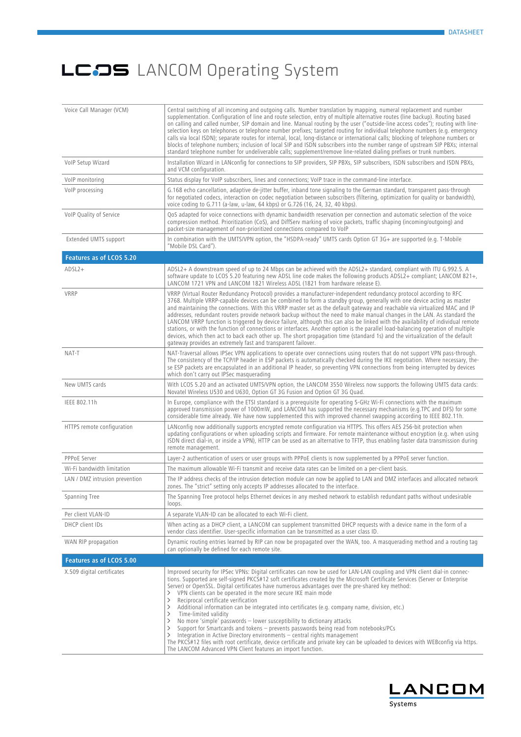| Voice Call Manager (VCM)        | Central switching of all incoming and outgoing calls. Number translation by mapping, numeral replacement and number<br>supplementation. Configuration of line and route selection, entry of multiple alternative routes (line backup). Routing based<br>on calling and called number, SIP domain and line. Manual routing by the user ("outside-line access codes"); routing with line-<br>selection keys on telephones or telephone number prefixes; targeted routing for individual telephone numbers (e.g. emergency<br>calls via local ISDN); separate routes for internal, local, long-distance or international calls; blocking of telephone numbers or<br>blocks of telephone numbers; inclusion of local SIP and ISDN subscribers into the number range of upstream SIP PBXs; internal<br>standard telephone number for undeliverable calls; supplement/remove line-related dialing prefixes or trunk numbers.                                                                                                                                                                                    |
|---------------------------------|-----------------------------------------------------------------------------------------------------------------------------------------------------------------------------------------------------------------------------------------------------------------------------------------------------------------------------------------------------------------------------------------------------------------------------------------------------------------------------------------------------------------------------------------------------------------------------------------------------------------------------------------------------------------------------------------------------------------------------------------------------------------------------------------------------------------------------------------------------------------------------------------------------------------------------------------------------------------------------------------------------------------------------------------------------------------------------------------------------------|
| VoIP Setup Wizard               | Installation Wizard in LANconfig for connections to SIP providers, SIP PBXs, SIP subscribers, ISDN subscribers and ISDN PBXs,<br>and VCM configuration.                                                                                                                                                                                                                                                                                                                                                                                                                                                                                                                                                                                                                                                                                                                                                                                                                                                                                                                                                   |
| VolP monitoring                 | Status display for VoIP subscribers, lines and connections; VoIP trace in the command-line interface.                                                                                                                                                                                                                                                                                                                                                                                                                                                                                                                                                                                                                                                                                                                                                                                                                                                                                                                                                                                                     |
| VoIP processing                 | G.168 echo cancellation, adaptive de-jitter buffer, inband tone signaling to the German standard, transparent pass-through<br>for negotiated codecs, interaction on codec negotiation between subscribers (filtering, optimization for quality or bandwidth),<br>voice coding to G.711 (a-law, u-law, 64 kbps) or G.726 (16, 24, 32, 40 kbps).                                                                                                                                                                                                                                                                                                                                                                                                                                                                                                                                                                                                                                                                                                                                                            |
| VoIP Quality of Service         | QoS adapted for voice connections with dynamic bandwidth reservation per connection and automatic selection of the voice<br>compression method. Prioritization (CoS), and DiffServ marking of voice packets, traffic shaping (incoming/outgoing) and<br>packet-size management of non-prioritized connections compared to VoIP                                                                                                                                                                                                                                                                                                                                                                                                                                                                                                                                                                                                                                                                                                                                                                            |
| Extended UMTS support           | In combination with the UMTS/VPN option, the "HSDPA-ready" UMTS cards Option GT 3G+ are supported (e.g. T-Mobile<br>"Mobile DSL Card").                                                                                                                                                                                                                                                                                                                                                                                                                                                                                                                                                                                                                                                                                                                                                                                                                                                                                                                                                                   |
| <b>Features as of LCOS 5.20</b> |                                                                                                                                                                                                                                                                                                                                                                                                                                                                                                                                                                                                                                                                                                                                                                                                                                                                                                                                                                                                                                                                                                           |
| $ADSL2+$                        | ADSL2+ A downstream speed of up to 24 Mbps can be achieved with the ADSL2+ standard, compliant with ITU G.992.5. A<br>software update to LCOS 5.20 featuring new ADSL line code makes the following products ADSL2+ compliant; LANCOM 821+,<br>LANCOM 1721 VPN and LANCOM 1821 Wireless ADSL (1821 from hardware release E).                                                                                                                                                                                                                                                                                                                                                                                                                                                                                                                                                                                                                                                                                                                                                                              |
| VRRP                            | VRRP (Virtual Router Redundancy Protocol) provides a manufacturer-independent redundancy protocol according to RFC<br>3768. Multiple VRRP-capable devices can be combined to form a standby group, generally with one device acting as master<br>and maintaining the connections. With this VRRP master set as the default gateway and reachable via virtualized MAC and IP<br>addresses, redundant routers provide network backup without the need to make manual changes in the LAN. As standard the<br>LANCOM VRRP function is triggered by device failure, although this can also be linked with the availability of individual remote<br>stations, or with the function of connections or interfaces. Another option is the parallel load-balancing operation of multiple<br>devices, which then act to back each other up. The short propagation time (standard 1s) and the virtualization of the default<br>gateway provides an extremely fast and transparent failover.                                                                                                                           |
| NAT-T                           | NAT-Traversal allows IPSec VPN applications to operate over connections using routers that do not support VPN pass-through.<br>The consistency of the TCP/IP header in ESP packets is automatically checked during the IKE negotiation. Where necessary, the-<br>se ESP packets are encapsulated in an additional IP header, so preventing VPN connections from being interrupted by devices<br>which don't carry out IPSec masquerading                                                                                                                                                                                                                                                                                                                                                                                                                                                                                                                                                                                                                                                                  |
| New UMTS cards                  | With LCOS 5.20 and an activated UMTS/VPN option, the LANCOM 3550 Wireless now supports the following UMTS data cards:<br>Novatel Wireless U530 and U630, Option GT 3G Fusion and Option GT 3G Quad.                                                                                                                                                                                                                                                                                                                                                                                                                                                                                                                                                                                                                                                                                                                                                                                                                                                                                                       |
| IEEE 802.11h                    | In Europe, compliance with the ETSI standard is a prerequisite for operating 5-GHz Wi-Fi connections with the maximum<br>approved transmission power of 1000mW, and LANCOM has supported the necessary mechanisms (e.g.TPC and DFS) for some<br>considerable time already. We have now supplemented this with improved channel swapping according to IEEE 802.11h.                                                                                                                                                                                                                                                                                                                                                                                                                                                                                                                                                                                                                                                                                                                                        |
| HTTPS remote configuration      | LANconfig now additionally supports encrypted remote configuration via HTTPS. This offers AES 256-bit protection when<br>updating configurations or when uploading scripts and firmware. For remote maintenance without encryption (e.g. when using<br>ISDN direct dial-in, or inside a VPN), HTTP can be used as an alternative to TFTP, thus enabling faster data transmission during<br>remote management.                                                                                                                                                                                                                                                                                                                                                                                                                                                                                                                                                                                                                                                                                             |
| <b>PPPoE Server</b>             | Layer-2 authentication of users or user groups with PPPoE clients is now supplemented by a PPPoE server function.                                                                                                                                                                                                                                                                                                                                                                                                                                                                                                                                                                                                                                                                                                                                                                                                                                                                                                                                                                                         |
| Wi-Fi bandwidth limitation      | The maximum allowable Wi-Fi transmit and receive data rates can be limited on a per-client basis.                                                                                                                                                                                                                                                                                                                                                                                                                                                                                                                                                                                                                                                                                                                                                                                                                                                                                                                                                                                                         |
| LAN / DMZ intrusion prevention  | The IP address checks of the intrusion detection module can now be applied to LAN and DMZ interfaces and allocated network<br>zones. The "strict" setting only accepts IP addresses allocated to the interface.                                                                                                                                                                                                                                                                                                                                                                                                                                                                                                                                                                                                                                                                                                                                                                                                                                                                                           |
| Spanning Tree                   | The Spanning Tree protocol helps Ethernet devices in any meshed network to establish redundant paths without undesirable<br>loops.                                                                                                                                                                                                                                                                                                                                                                                                                                                                                                                                                                                                                                                                                                                                                                                                                                                                                                                                                                        |
| Per client VLAN-ID              | A separate VLAN-ID can be allocated to each Wi-Fi client.                                                                                                                                                                                                                                                                                                                                                                                                                                                                                                                                                                                                                                                                                                                                                                                                                                                                                                                                                                                                                                                 |
| DHCP client IDs                 | When acting as a DHCP client, a LANCOM can supplement transmitted DHCP requests with a device name in the form of a<br>vendor class identifier. User-specific information can be transmitted as a user class ID.                                                                                                                                                                                                                                                                                                                                                                                                                                                                                                                                                                                                                                                                                                                                                                                                                                                                                          |
| WAN RIP propagation             | Dynamic routing entries learned by RIP can now be propagated over the WAN, too. A masquerading method and a routing tag<br>can optionally be defined for each remote site.                                                                                                                                                                                                                                                                                                                                                                                                                                                                                                                                                                                                                                                                                                                                                                                                                                                                                                                                |
| Features as of LCOS 5.00        |                                                                                                                                                                                                                                                                                                                                                                                                                                                                                                                                                                                                                                                                                                                                                                                                                                                                                                                                                                                                                                                                                                           |
| X.509 digital certificates      | Improved security for IPSec VPNs: Digital certificates can now be used for LAN-LAN coupling and VPN client dial-in connec-<br>tions. Supported are self-signed PKCS#12 soft certificates created by the Microsoft Certificate Services (Server or Enterprise<br>Server) or OpenSSL. Digital certificates have numerous advantages over the pre-shared key method:<br>VPN clients can be operated in the more secure IKE main mode<br>≻<br>Reciprocal certificate verification<br>≻<br>Additional information can be integrated into certificates (e.g. company name, division, etc.)<br>≻<br>$\left. \right.$<br>Time-limited validity<br>No more 'simple' passwords - lower susceptibility to dictionary attacks<br>≻<br>Support for Smartcards and tokens - prevents passwords being read from notebooks/PCs<br>≻<br>Integration in Active Directory environments $-$ central rights management<br>≻<br>The PKCS#12 files with root certificate, device certificate and private key can be uploaded to devices with WEBconfig via https.<br>The LANCOM Advanced VPN Client features an import function. |

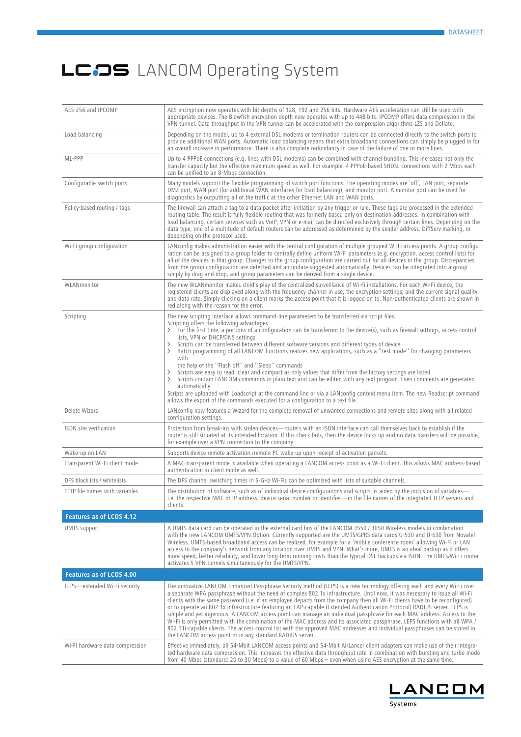| AES-256 and IPCOMP              | AES encryption now operates with bit depths of 128, 192 and 256 bits. Hardware AES acceleration can still be used with<br>appropriate devices. The Blowfish encryption depth now operates with up to 448 bits. IPCOMP offers data compression in the<br>VPN tunnel. Data throughput in the VPN tunnel can be accelerated with the compression algorithms LZS and Deflate.                                                                                                                                                                                                                                                                                                                                                                                                                                                                                                                                                                                                                                                                                                                           |
|---------------------------------|-----------------------------------------------------------------------------------------------------------------------------------------------------------------------------------------------------------------------------------------------------------------------------------------------------------------------------------------------------------------------------------------------------------------------------------------------------------------------------------------------------------------------------------------------------------------------------------------------------------------------------------------------------------------------------------------------------------------------------------------------------------------------------------------------------------------------------------------------------------------------------------------------------------------------------------------------------------------------------------------------------------------------------------------------------------------------------------------------------|
| Load balancing                  | Depending on the model, up to 4 external DSL modems or termination routers can be connected directly to the switch ports to<br>provide additional WAN ports. Automatic load balancing means that extra broadband connections can simply be plugged in for<br>an overall increase in performance. There is also complete redundancy in case of the failure of one or more lines.                                                                                                                                                                                                                                                                                                                                                                                                                                                                                                                                                                                                                                                                                                                     |
| ML-PPP                          | Up to 4 PPPoE connections (e.g. lines with DSL modems) can be combined with channel bundling. This increases not only the<br>transfer capacity but the effective maximum speed as well. For example, 4 PPPoE-based SHDSL connections with 2 Mbps each<br>can be unified to an 8-Mbps connection.                                                                                                                                                                                                                                                                                                                                                                                                                                                                                                                                                                                                                                                                                                                                                                                                    |
| Configurable switch ports       | Many models support the flexible programming of switch port functions. The operating modes are 'off', LAN port, separate<br>DMZ port, WAN port (for additional WAN interfaces for load balancing), and monitor port. A monitor port can be used for<br>diagnostics by outputting all of the traffic at the other Ethernet LAN and WAN ports.                                                                                                                                                                                                                                                                                                                                                                                                                                                                                                                                                                                                                                                                                                                                                        |
| Policy-based routing / tags     | The firewall can attach a tag to a data packet after initiation by any trigger or rule. These tags are processed in the extended<br>routing table. The result is fully flexible routing that was formerly based only on destination addresses. In combination with<br>load balancing, certain services such as VoIP, VPN or e-mail can be directed exclusively through certain lines. Depending on the<br>data type, one of a multitude of default routers can be addressed as determined by the sender address, DiffServ marking, or<br>depending on the protocol used.                                                                                                                                                                                                                                                                                                                                                                                                                                                                                                                            |
| Wi-Fi group configuration       | LANconfig makes administration easier with the central configuration of multiple grouped Wi-Fi access points. A group configu-<br>ration can be assigned to a group folder to centrally define uniform Wi-Fi parameters (e.g. encryption, access control lists) for<br>all of the devices in that group. Changes to the group configuration are carried out for all devices in the group. Discrepancies<br>from the group configuration are detected and an update suggested automatically. Devices can be integrated into a group<br>simply by drag and drop, and group parameters can be derived from a single device.                                                                                                                                                                                                                                                                                                                                                                                                                                                                            |
| WLANmonitor                     | The new WLANmonitor makes child's play of the centralized surveillance of Wi-Fi installations. For each Wi-Fi device, the<br>registered clients are displayed along with the frequency channel in use, the encryption settings, and the current signal quality,<br>and data rate. Simply clicking on a client marks the access point that it is logged on to. Non-authenticated clients are shown in<br>red along with the reason for the error.                                                                                                                                                                                                                                                                                                                                                                                                                                                                                                                                                                                                                                                    |
| Scripting                       | The new scripting interface allows command-line parameters to be transferred via script files.<br>Scripting offers the following advantages:<br>> For the first time, a portions of a configuration can be transferred to the device(s), such as firewall settings, access control<br>lists, VPN or DHCP/DNS settings<br>Scripts can be transferred between different software versions and different types of device<br>Batch programming of all LANCOM functions realizes new applications, such as a "test mode" for changing parameters<br>$\rightarrow$<br>with<br>the help of the "Flash off" and "Sleep" commands<br>Scripts are easy to read, clear and compact as only values that differ from the factory settings are listed<br>ゝ<br>Scripts contain LANCOM commands in plain text and can be edited with any text program. Even comments are generated<br>automatically.<br>Scripts are uploaded with Loadscript at the command line or via a LANconfig context menu item. The new Readscript command<br>allows the export of the commands executed for a configuration to a text file. |
| Delete Wizard                   | LANconfig now features a Wizard for the complete removal of unwanted connections and remote sites along with all related<br>configuration settings.                                                                                                                                                                                                                                                                                                                                                                                                                                                                                                                                                                                                                                                                                                                                                                                                                                                                                                                                                 |
| ISDN site verification          | Protection from break-ins with stolen devices-routers with an ISDN interface can call themselves back to establish if the<br>router is still situated at its intended location. If this check fails, then the device locks up and no data transfers will be possible,<br>for example over a VPN connection to the company.                                                                                                                                                                                                                                                                                                                                                                                                                                                                                                                                                                                                                                                                                                                                                                          |
| Wake-up on LAN                  | Supports device remote activation /remote PC wake-up upon receipt of activation packets.                                                                                                                                                                                                                                                                                                                                                                                                                                                                                                                                                                                                                                                                                                                                                                                                                                                                                                                                                                                                            |
| Transparent Wi-Fi client mode   | A MAC-transparent mode is available when operating a LANCOM access point as a Wi-Fi client. This allows MAC address-based<br>authentication in client mode as well.                                                                                                                                                                                                                                                                                                                                                                                                                                                                                                                                                                                                                                                                                                                                                                                                                                                                                                                                 |
| DFS blacklists / whitelists     | The DFS channel switching times in 5-GHz Wi-Fis can be optimized with lists of suitable channels.                                                                                                                                                                                                                                                                                                                                                                                                                                                                                                                                                                                                                                                                                                                                                                                                                                                                                                                                                                                                   |
| TFTP file names with variables  | The distribution of software, such as of individual device configurations and scripts, is aided by the inclusion of variables—<br>i.e. the respective MAC or IP address, device serial number or identifier—in the file names of the integrated TFTP servers and<br>clients.                                                                                                                                                                                                                                                                                                                                                                                                                                                                                                                                                                                                                                                                                                                                                                                                                        |
| Features as of LCOS 4.12        |                                                                                                                                                                                                                                                                                                                                                                                                                                                                                                                                                                                                                                                                                                                                                                                                                                                                                                                                                                                                                                                                                                     |
| <b>UMTS</b> support             | A UMTS data card can be operated in the external card bus of the LANCOM 3550 / 3050 Wireless models in combination<br>with the new LANCOM UMTS/VPN Option. Currently supported are the UMTS/GPRS data cards U-530 and U-630 from Novatel<br>Wireless. UMTS-based broadband access can be realized, for example for a 'mobile conference room' allowing Wi-Fi or LAN<br>access to the company's network from any location over UMTS and VPN. What's more, UMTS is an ideal backup as it offers<br>more speed, better reliability, and lower long-term running costs than the typical DSL backups via ISDN. The UMTS/Wi-Fi router<br>activates 5 VPN tunnels simultaneously for the UMTS/VPN.                                                                                                                                                                                                                                                                                                                                                                                                         |
| Features as of LCOS 4.00        |                                                                                                                                                                                                                                                                                                                                                                                                                                                                                                                                                                                                                                                                                                                                                                                                                                                                                                                                                                                                                                                                                                     |
| LEPS-extended Wi-Fi security    | The innovative LANCOM Enhanced Passphrase Security method (LEPS) is a new technology offering each and every Wi-Fi user<br>a separate WPA passphrase without the need of complex 802.1x infrastructure. Until now, it was necessary to issue all Wi-Fi<br>clients with the same password (i.e. if an employee departs from the company then all Wi-Fi clients have to be reconfigured)<br>or to operate an 802.1x infrastructure featuring an EAP-capable (Extended Authentication Protocol) RADIUS server. LEPS is<br>simple and yet ingenious. A LANCOM access point can manage an individual passphrase for each MAC address. Access to the<br>Wi-Fi is only permitted with the combination of the MAC address and its associated passphrase. LEPS functions with all WPA /<br>802.11i-capable clients. The access control list with the approved MAC addresses and individual passphrases can be stored in<br>the LANCOM access point or in any standard RADIUS server.                                                                                                                         |
| Wi-Fi hardware data compression | Effective immediately, all 54-Mbit LANCOM access points and 54-Mbit AirLancer client adapters can make use of their integra-<br>ted hardware data compression. This increases the effective data throughput rate in combination with bursting and turbo mode<br>from 40 Mbps (standard: 20 to 30 Mbps) to a value of 60 Mbps – even when using AES encryption at the same time.                                                                                                                                                                                                                                                                                                                                                                                                                                                                                                                                                                                                                                                                                                                     |

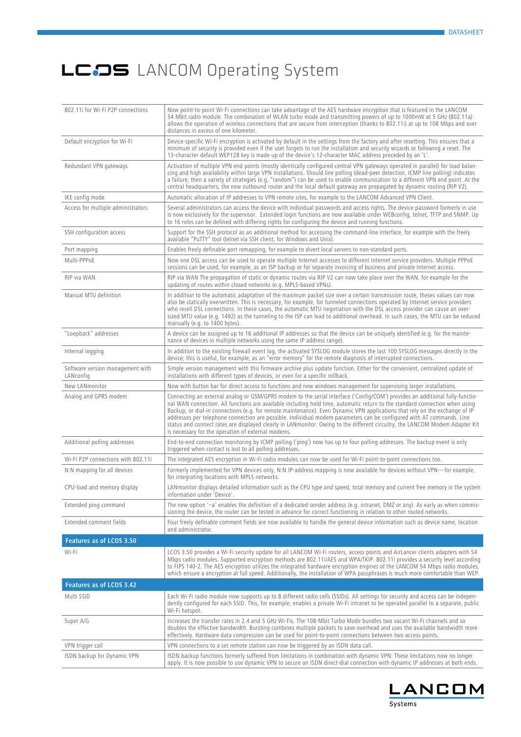| 802.11i for Wi-Fi P2P connections             | Now point-to-point Wi-Fi connections can take advantage of the AES hardware encryption that is featured in the LANCOM<br>54 Mbit radio module. The combination of WLAN turbo mode and transmitting powers of up to 1000mW at 5 GHz (802.11a)<br>allows the operation of wireless connections that are secure from interception (thanks to 802.11i) at up to 108 Mbps and over<br>distances in excess of one kilometer.                                                                                                                                                                                                                                                                                    |
|-----------------------------------------------|-----------------------------------------------------------------------------------------------------------------------------------------------------------------------------------------------------------------------------------------------------------------------------------------------------------------------------------------------------------------------------------------------------------------------------------------------------------------------------------------------------------------------------------------------------------------------------------------------------------------------------------------------------------------------------------------------------------|
| Default encryption for Wi-Fi                  | Device-specific Wi-Fi encryption is activated by default in the settings from the factory and after resetting. This ensures that a<br>minimum of security is provided even if the user forgets to run the installation and security wizards or following a reset. The<br>.'13-character default WEP128 key is made up of the device's 12-character MAC address preceded by an 'L                                                                                                                                                                                                                                                                                                                          |
| Redundant VPN gateways                        | Activation of multiple VPN end points (mostly identically configured central VPN gateways operated in parallel) for load balan-<br>cing and high availability within large VPN installations. Should line polling (dead-peer detection, ICMP line polling) indicates<br>a failure, then a variety of strategies (e.g. "random") can be used to enable communication to a different VPN end point. At the<br>central headquarters, the new outbound router and the local default gateway are propagated by dynamic routing (RIP V2).                                                                                                                                                                       |
| IKE config mode                               | Automatic allocation of IP addresses to VPN remote sites, for example to the LANCOM Advanced VPN Client.                                                                                                                                                                                                                                                                                                                                                                                                                                                                                                                                                                                                  |
| Access for multiple administrators            | Several administrators can access the device with individual passwords and access rights. The device password formerly in use<br>is now exclusively for the supervisor. Extended login functions are now available under WEBconfig, telnet, TFTP and SNMP. Up<br>to 16 roles can be defined with differing rights for configuring the device and running functions.                                                                                                                                                                                                                                                                                                                                       |
| SSH configuration access                      | Support for the SSH protocol as an additional method for accessing the command-line interface, for example with the freely<br>available "PuTTY" tool (telnet via SSH client, for Windows and Unix).                                                                                                                                                                                                                                                                                                                                                                                                                                                                                                       |
| Port mapping                                  | Enables freely definable port remapping, for example to divert local servers to non-standard ports.                                                                                                                                                                                                                                                                                                                                                                                                                                                                                                                                                                                                       |
| Multi-PPPoE                                   | Now one DSL access can be used to operate multiple Internet accesses to different Internet service providers. Multiple PPPoE<br>sessions can be used, for example, as an ISP backup or for separate invoicing of business and private Internet access.                                                                                                                                                                                                                                                                                                                                                                                                                                                    |
| RIP via WAN                                   | RIP via WAN The propagation of static or dynamic routes via RIP V2 can now take place over the WAN, for example for the<br>updating of routes within closed networks (e.g. MPLS-based VPNs).                                                                                                                                                                                                                                                                                                                                                                                                                                                                                                              |
| Manual MTU definition                         | In addition to the automatic adaptation of the maximum packet size over a certain transmission route, theses values can now<br>also be statically overwritten. This is necessary, for example, for tunneled connections operated by Internet service providers<br>who resell DSL connections. In these cases, the automatic MTU negotiation with the DSL access provider can cause an over-<br>sized MTU value (e.g. 1492) as the tunneling to the ISP can lead to additional overhead. In such cases, the MTU can be reduced<br>manually (e.g. to 1400 bytes).                                                                                                                                           |
| "Loopback" addresses                          | A device can be assigned up to 16 additional IP addresses so that the device can be uniquely identified (e.g. for the mainte-<br>nance of devices in multiple networks using the same IP address range).                                                                                                                                                                                                                                                                                                                                                                                                                                                                                                  |
| Internal logging                              | In addition to the existing firewall event log, the activated SYSLOG module stores the last 100 SYSLOG messages directly in the<br>device; this is useful, for example, as an "error memory" for the remote diagnosis of interrupted connections.                                                                                                                                                                                                                                                                                                                                                                                                                                                         |
| Software version management with<br>LANconfig | Simple version management with this firmware archive plus update function. Either for the convenient, centralized update of<br>installations with different types of devices, or even for a specific rollback.                                                                                                                                                                                                                                                                                                                                                                                                                                                                                            |
| New LANmonitor                                | Now with button bar for direct access to functions and new windows management for supervising larger installations.                                                                                                                                                                                                                                                                                                                                                                                                                                                                                                                                                                                       |
| Analog and GPRS modem                         | Connecting an external analog or GSM/GPRS modem to the serial interface ('Config/COM') provides an additional fully-functio-<br>nal WAN connection. All functions are available including hold time, automatic return to the standard connection when using<br>Backup, or dial-in connections (e.g. for remote maintenance). Even Dynamic VPN applications that rely on the exchange of IP<br>addresses per telephone connection are possible. Individual modem parameters can be configured with AT commands. Line<br>status and connect rates are displayed clearly in LANmonitor. Owing to the different circuitry, the LANCOM Modem Adapter Kit<br>is necessary for the operation of external modems. |
| Additional polling addresses                  | End-to-end connection monitoring by ICMP polling ('ping') now has up to four polling addresses. The backup event is only<br>triggered when contact is lost to all polling addresses.                                                                                                                                                                                                                                                                                                                                                                                                                                                                                                                      |
| Wi-Fi P2P connections with 802.11i            | The integrated AES encryption in Wi-Fi radio modules can now be used for Wi-Fi point-to-point connections too.                                                                                                                                                                                                                                                                                                                                                                                                                                                                                                                                                                                            |
| N:N mapping for all devices                   | Formerly implemented for VPN devices only, N:N IP-address mapping is now available for devices without VPN-for example,<br>for integrating locations with MPLS networks.                                                                                                                                                                                                                                                                                                                                                                                                                                                                                                                                  |
| CPU-load and memory display                   | LANmonitor displays detailed information such as the CPU type and speed, total memory and current free memory in the system<br>information under 'Device'.                                                                                                                                                                                                                                                                                                                                                                                                                                                                                                                                                |
| Extended ping command                         | The new option '-a' enables the definition of a dedicated sender address (e.g. intranet, DMZ or any). As early as when commis-<br>sioning the device, the router can be tested in advance for correct functioning in relation to other routed networks.                                                                                                                                                                                                                                                                                                                                                                                                                                                   |
| Extended comment fields                       | Four freely definable comment fields are now available to handle the general device information such as device name, location<br>and administrator.                                                                                                                                                                                                                                                                                                                                                                                                                                                                                                                                                       |
| Features as of LCOS 3.50                      |                                                                                                                                                                                                                                                                                                                                                                                                                                                                                                                                                                                                                                                                                                           |
| Wi-Fi                                         | LCOS 3.50 provides a Wi-Fi security update for all LANCOM Wi-Fi routers, access points and AirLancer clients adapters with 54<br>Mbps radio modules. Supported encryption methods are 802.11i/AES and WPA/TKIP. 802.11i provides a security level according<br>to FIPS 140-2. The AES encryption utilizes the integrated hardware encryption engines of the LANCOM 54 Mbps radio modules,<br>which ensure a encryption at full speed. Additionally, the installation of WPA passphrases is much more comfortable than WEP.                                                                                                                                                                                |
| Features as of LCOS 3.42                      |                                                                                                                                                                                                                                                                                                                                                                                                                                                                                                                                                                                                                                                                                                           |
| Multi SSID                                    | Each Wi-Fi radio module now supports up to 8 different radio cells (SSIDs). All settings for security and access can be indepen-<br>dently configured for each SSID. This, for example, enables a private Wi-Fi intranet to be operated parallel to a separate, public<br>Wi-Fi hotspot.                                                                                                                                                                                                                                                                                                                                                                                                                  |
| Super A/G                                     | Increases the transfer rates in 2.4 and 5 GHz Wi-Fis. The 108-Mbit Turbo Mode bundles two vacant Wi-Fi channels and so<br>doubles the effective bandwidth. Bursting combines multiple packets to save overhead and uses the available bandwidth more<br>effectively. Hardware data compression can be used for point-to-point connections between two access points.                                                                                                                                                                                                                                                                                                                                      |
| VPN trigger call                              | VPN connections to a set remote station can now be triggered by an ISDN data call.                                                                                                                                                                                                                                                                                                                                                                                                                                                                                                                                                                                                                        |
| ISDN backup for Dynamic VPN                   | ISDN backup functions formerly suffered from limitations in combination with dynamic VPN: These limitations now no longer<br>apply. It is now possible to use dynamic VPN to secure an ISDN direct-dial connection with dynamic IP addresses at both ends.                                                                                                                                                                                                                                                                                                                                                                                                                                                |